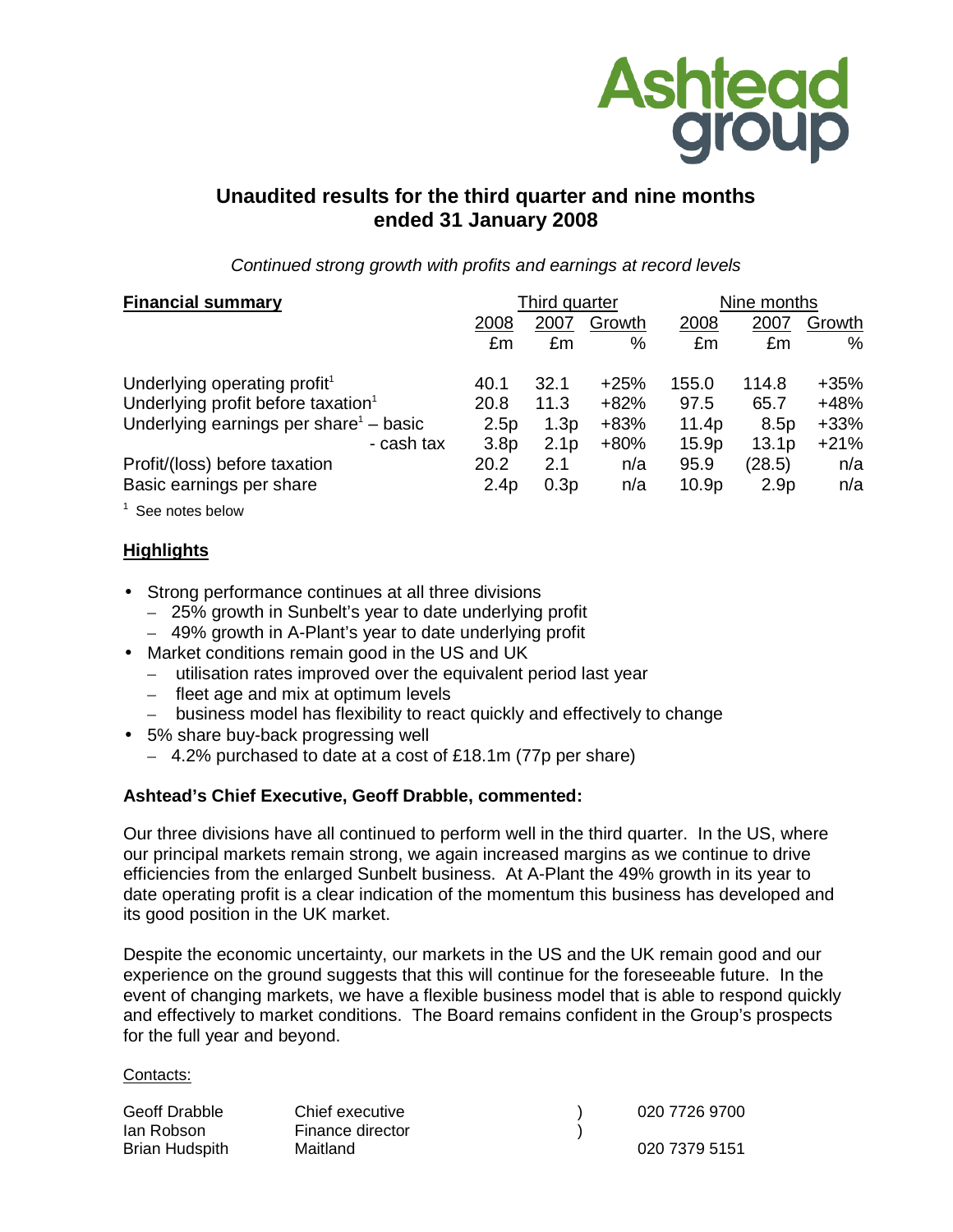

# **Unaudited results for the third quarter and nine months ended 31 January 2008**

Continued strong growth with profits and earnings at record levels

| <b>Financial summary</b>                       | Third quarter    |                  |        | Nine months       |                   |        |
|------------------------------------------------|------------------|------------------|--------|-------------------|-------------------|--------|
|                                                | 2008             | 2007             | Growth | 2008              | 2007              | Growth |
|                                                | £m               | £m               | %      | £m                | £m                | %      |
| Underlying operating profit <sup>1</sup>       | 40.1             | 32.1             | $+25%$ | 155.0             | 114.8             | $+35%$ |
| Underlying profit before taxation <sup>1</sup> | 20.8             | 11.3             | $+82%$ | 97.5              | 65.7              | +48%   |
| Underlying earnings per share $1 -$ basic      | 2.5p             | 1.3p             | $+83%$ | 11.4p             | 8.5p              | $+33%$ |
| - cash tax                                     | 3.8 <sub>p</sub> | 2.1 <sub>p</sub> | $+80%$ | 15.9 <sub>p</sub> | 13.1 <sub>p</sub> | $+21%$ |
| Profit/(loss) before taxation                  | 20.2             | 2.1              | n/a    | 95.9              | (28.5)            | n/a    |
| Basic earnings per share                       | 2.4p             | 0.3p             | n/a    | 10.9 <sub>p</sub> | 2.9 <sub>p</sub>  | n/a    |
|                                                |                  |                  |        |                   |                   |        |

 $^1$  See notes below

# **Highlights**

- Strong performance continues at all three divisions
	- 25% growth in Sunbelt's year to date underlying profit
	- 49% growth in A-Plant's year to date underlying profit
- Market conditions remain good in the US and UK
	- utilisation rates improved over the equivalent period last year
	- fleet age and mix at optimum levels
	- business model has flexibility to react quickly and effectively to change
- 5% share buy-back progressing well
	- 4.2% purchased to date at a cost of £18.1m (77p per share)

# **Ashtead's Chief Executive, Geoff Drabble, commented:**

Our three divisions have all continued to perform well in the third quarter. In the US, where our principal markets remain strong, we again increased margins as we continue to drive efficiencies from the enlarged Sunbelt business. At A-Plant the 49% growth in its year to date operating profit is a clear indication of the momentum this business has developed and its good position in the UK market.

Despite the economic uncertainty, our markets in the US and the UK remain good and our experience on the ground suggests that this will continue for the foreseeable future. In the event of changing markets, we have a flexible business model that is able to respond quickly and effectively to market conditions. The Board remains confident in the Group's prospects for the full year and beyond.

#### Contacts:

| Geoff Drabble  | Chief executive  | 020 7726 9700 |
|----------------|------------------|---------------|
| lan Robson     | Finance director |               |
| Brian Hudspith | Maitland         | 020 7379 5151 |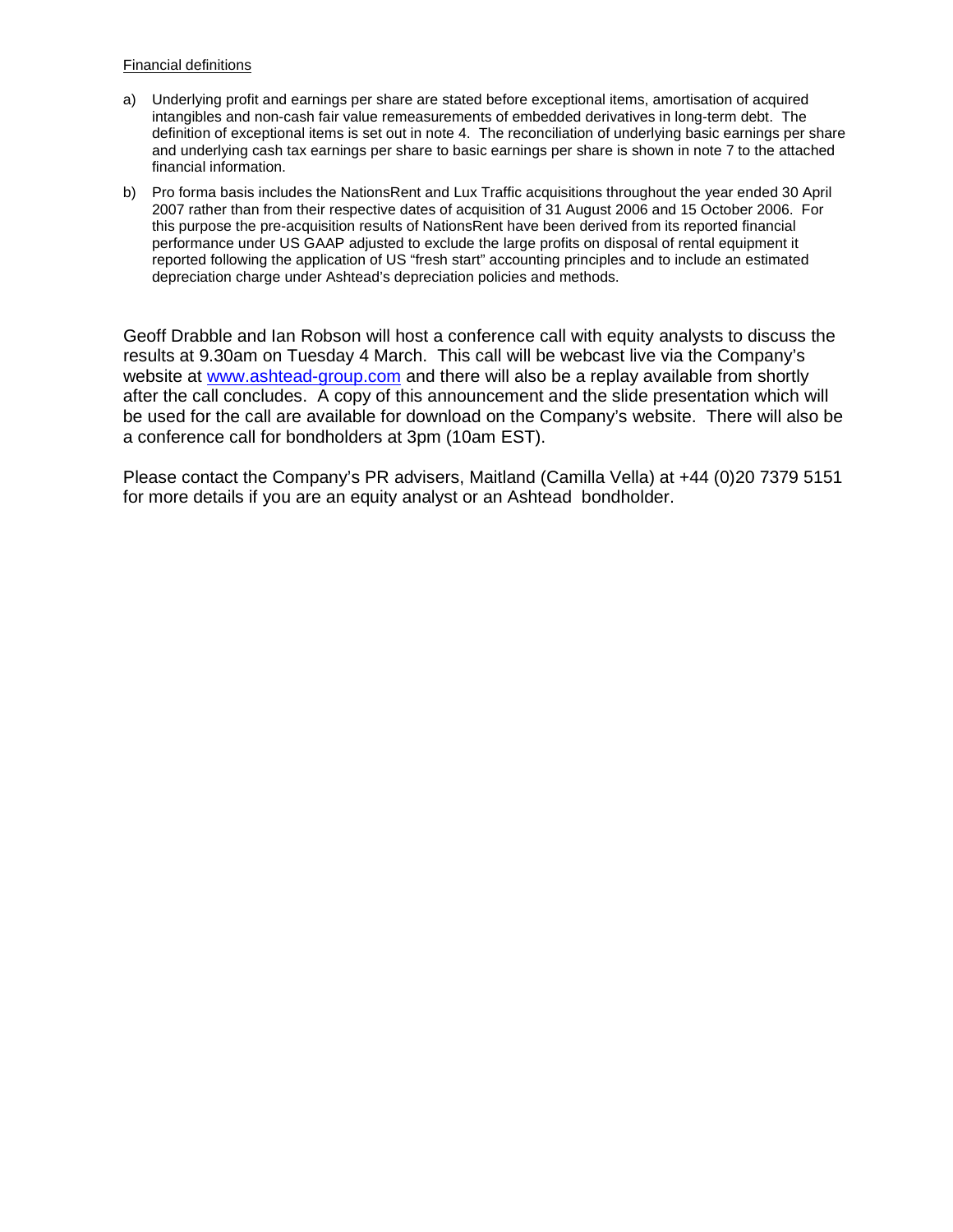#### Financial definitions

- a) Underlying profit and earnings per share are stated before exceptional items, amortisation of acquired intangibles and non-cash fair value remeasurements of embedded derivatives in long-term debt. The definition of exceptional items is set out in note 4. The reconciliation of underlying basic earnings per share and underlying cash tax earnings per share to basic earnings per share is shown in note 7 to the attached financial information.
- b) Pro forma basis includes the NationsRent and Lux Traffic acquisitions throughout the year ended 30 April 2007 rather than from their respective dates of acquisition of 31 August 2006 and 15 October 2006. For this purpose the pre-acquisition results of NationsRent have been derived from its reported financial performance under US GAAP adjusted to exclude the large profits on disposal of rental equipment it reported following the application of US "fresh start" accounting principles and to include an estimated depreciation charge under Ashtead's depreciation policies and methods.

Geoff Drabble and Ian Robson will host a conference call with equity analysts to discuss the results at 9.30am on Tuesday 4 March. This call will be webcast live via the Company's website at www.ashtead-group.com and there will also be a replay available from shortly after the call concludes. A copy of this announcement and the slide presentation which will be used for the call are available for download on the Company's website. There will also be a conference call for bondholders at 3pm (10am EST).

Please contact the Company's PR advisers, Maitland (Camilla Vella) at +44 (0)20 7379 5151 for more details if you are an equity analyst or an Ashtead bondholder.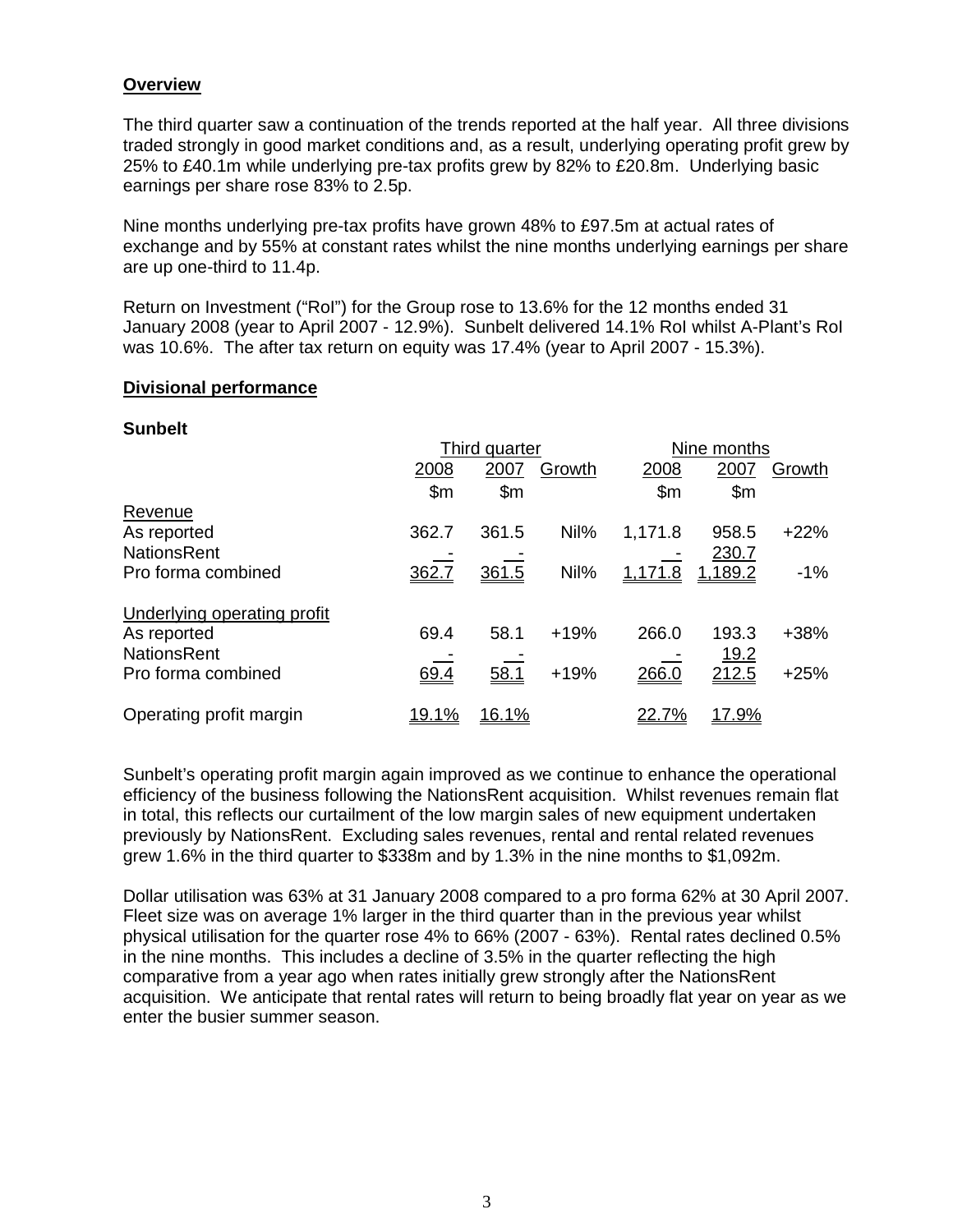# **Overview**

The third quarter saw a continuation of the trends reported at the half year. All three divisions traded strongly in good market conditions and, as a result, underlying operating profit grew by 25% to £40.1m while underlying pre-tax profits grew by 82% to £20.8m. Underlying basic earnings per share rose 83% to 2.5p.

Nine months underlying pre-tax profits have grown 48% to £97.5m at actual rates of exchange and by 55% at constant rates whilst the nine months underlying earnings per share are up one-third to 11.4p.

Return on Investment ("RoI") for the Group rose to 13.6% for the 12 months ended 31 January 2008 (year to April 2007 - 12.9%). Sunbelt delivered 14.1% RoI whilst A-Plant's RoI was 10.6%. The after tax return on equity was 17.4% (year to April 2007 - 15.3%).

## **Divisional performance**

## **Sunbelt**

|                                    |               | Third quarter  |        |         | Nine months    |        |  |
|------------------------------------|---------------|----------------|--------|---------|----------------|--------|--|
|                                    | 2008          | 2007           | Growth | 2008    | 2007           | Growth |  |
|                                    | $\mathsf{Sm}$ | $\mathsf{S}$ m |        | \$m     | $\mathsf{S}$ m |        |  |
| Revenue                            |               |                |        |         |                |        |  |
| As reported                        | 362.7         | 361.5          | Nil%   | 1,171.8 | 958.5          | $+22%$ |  |
| <b>NationsRent</b>                 |               |                |        |         | 230.7          |        |  |
| Pro forma combined                 | 362.7         | 361.5          | Nil%   | 1,171.8 | 1,189.2        | $-1%$  |  |
| <b>Underlying operating profit</b> |               |                |        |         |                |        |  |
| As reported                        | 69.4          | 58.1           | $+19%$ | 266.0   | 193.3          | $+38%$ |  |
| <b>NationsRent</b>                 |               |                |        |         | <u>19.2</u>    |        |  |
| Pro forma combined                 | 69.4          | 58.1           | $+19%$ | 266.0   | 212.5          | $+25%$ |  |
| Operating profit margin            | <u>19.1%</u>  | 16.1%          |        | 22.7%   | 17.9%          |        |  |

Sunbelt's operating profit margin again improved as we continue to enhance the operational efficiency of the business following the NationsRent acquisition. Whilst revenues remain flat in total, this reflects our curtailment of the low margin sales of new equipment undertaken previously by NationsRent. Excluding sales revenues, rental and rental related revenues grew 1.6% in the third quarter to \$338m and by 1.3% in the nine months to \$1,092m.

Dollar utilisation was 63% at 31 January 2008 compared to a pro forma 62% at 30 April 2007. Fleet size was on average 1% larger in the third quarter than in the previous year whilst physical utilisation for the quarter rose 4% to 66% (2007 - 63%). Rental rates declined 0.5% in the nine months. This includes a decline of 3.5% in the quarter reflecting the high comparative from a year ago when rates initially grew strongly after the NationsRent acquisition. We anticipate that rental rates will return to being broadly flat year on year as we enter the busier summer season.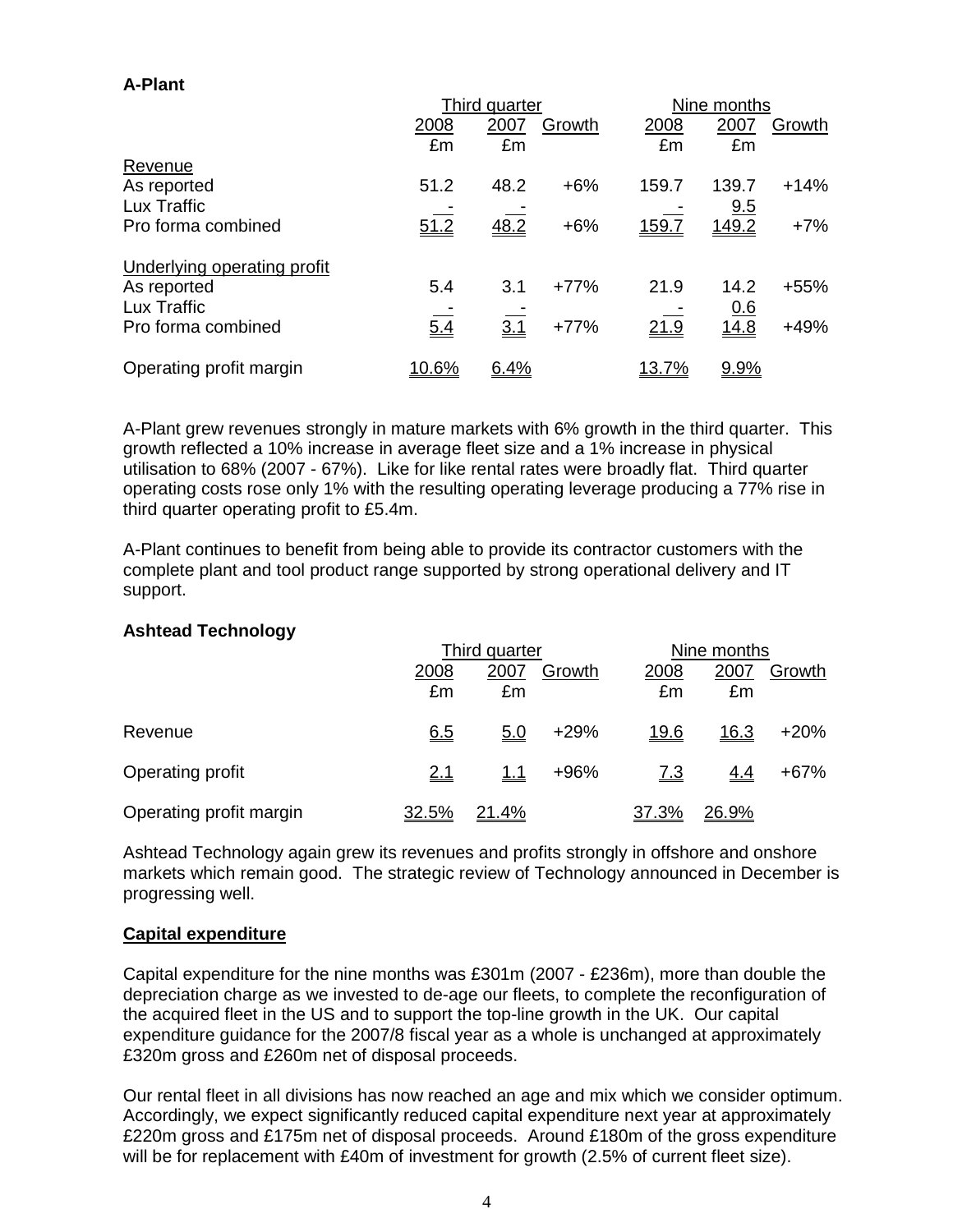# **A-Plant**

|                             |       | Third quarter |        |              | Nine months |        |  |
|-----------------------------|-------|---------------|--------|--------------|-------------|--------|--|
|                             | 2008  | 2007          | Growth | 2008         | 2007        | Growth |  |
|                             | £m    | £m            |        | £m           | £m          |        |  |
| Revenue                     |       |               |        |              |             |        |  |
| As reported                 | 51.2  | 48.2          | $+6%$  | 159.7        | 139.7       | $+14%$ |  |
| Lux Traffic                 |       |               |        |              | 9.5         |        |  |
| Pro forma combined          | 51.2  | 48.2          | $+6%$  | 159.7        | 149.2       | $+7%$  |  |
| Underlying operating profit |       |               |        |              |             |        |  |
| As reported                 | 5.4   | 3.1           | $+77%$ | 21.9         | 14.2        | $+55%$ |  |
| Lux Traffic                 |       |               |        |              | <u>0.6</u>  |        |  |
| Pro forma combined          | 5.4   | 3.1           | $+77%$ | 21.9         | 14.8        | $+49%$ |  |
| Operating profit margin     | 10.6% | 6.4%          |        | <u>13.7%</u> | 9.9%        |        |  |

A-Plant grew revenues strongly in mature markets with 6% growth in the third quarter. This growth reflected a 10% increase in average fleet size and a 1% increase in physical utilisation to 68% (2007 - 67%). Like for like rental rates were broadly flat. Third quarter operating costs rose only 1% with the resulting operating leverage producing a 77% rise in third quarter operating profit to £5.4m.

A-Plant continues to benefit from being able to provide its contractor customers with the complete plant and tool product range supported by strong operational delivery and IT support.

## **Ashtead Technology**

|                         |            | Third quarter |        | Nine months |             |        |
|-------------------------|------------|---------------|--------|-------------|-------------|--------|
|                         | 2008<br>£m | 2007<br>£m    | Growth | 2008<br>£m  | 2007<br>£m  | Growth |
| Revenue                 | 6.5        | <u>5.0</u>    | $+29%$ | <u>19.6</u> | <u>16.3</u> | $+20%$ |
| Operating profit        | <u>2.1</u> | <u> 1.1</u>   | +96%   | <u>7.3</u>  | <u>4.4</u>  | $+67%$ |
| Operating profit margin | 32.5%      | 21.4%         |        | 37.3%       | 26.9%       |        |

Ashtead Technology again grew its revenues and profits strongly in offshore and onshore markets which remain good. The strategic review of Technology announced in December is progressing well.

# **Capital expenditure**

Capital expenditure for the nine months was £301m (2007 - £236m), more than double the depreciation charge as we invested to de-age our fleets, to complete the reconfiguration of the acquired fleet in the US and to support the top-line growth in the UK. Our capital expenditure guidance for the 2007/8 fiscal year as a whole is unchanged at approximately £320m gross and £260m net of disposal proceeds.

Our rental fleet in all divisions has now reached an age and mix which we consider optimum. Accordingly, we expect significantly reduced capital expenditure next year at approximately £220m gross and £175m net of disposal proceeds. Around £180m of the gross expenditure will be for replacement with £40m of investment for growth (2.5% of current fleet size).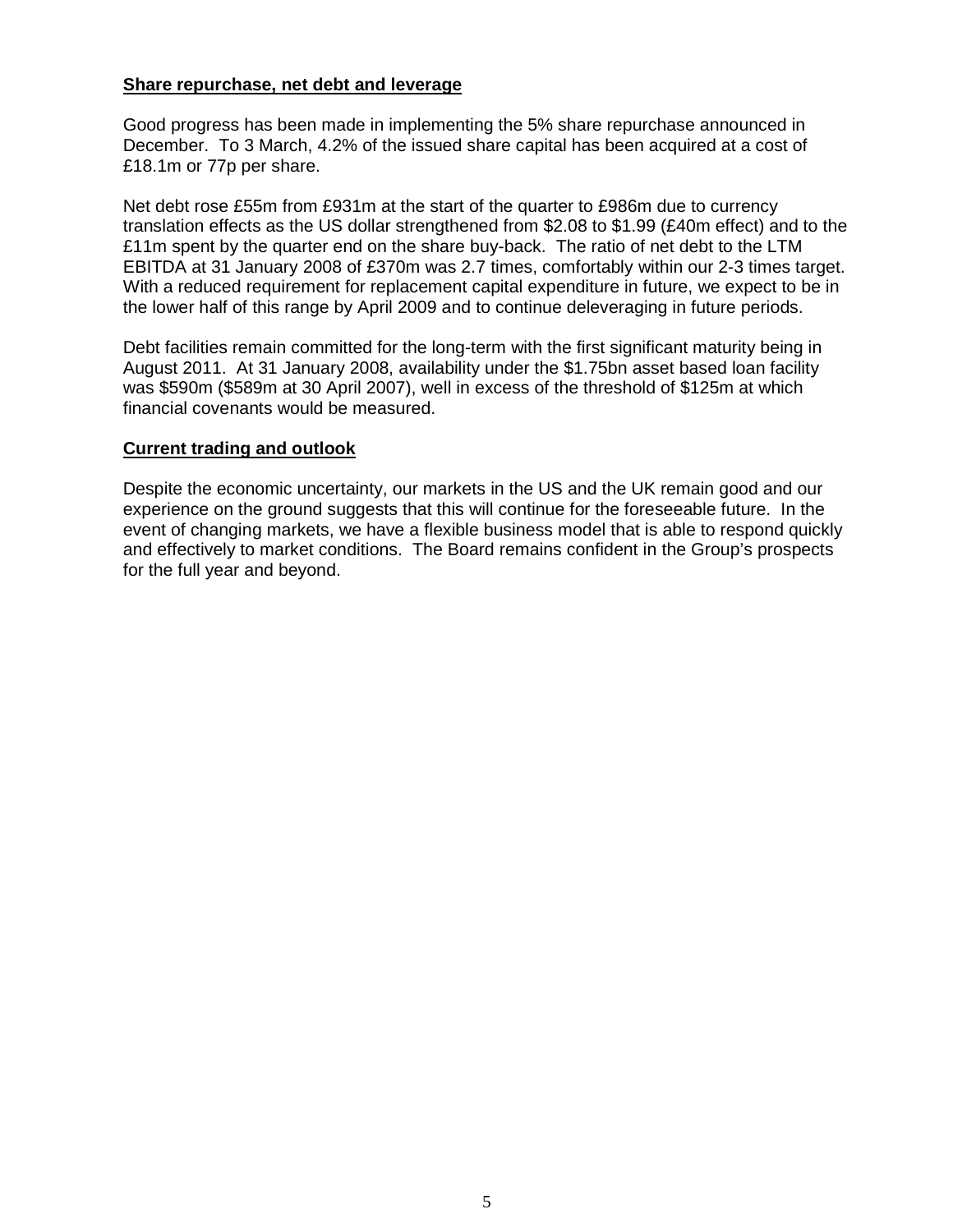# **Share repurchase, net debt and leverage**

Good progress has been made in implementing the 5% share repurchase announced in December. To 3 March, 4.2% of the issued share capital has been acquired at a cost of £18.1m or 77p per share.

Net debt rose £55m from £931m at the start of the quarter to £986m due to currency translation effects as the US dollar strengthened from \$2.08 to \$1.99 (£40m effect) and to the £11m spent by the quarter end on the share buy-back. The ratio of net debt to the LTM EBITDA at 31 January 2008 of £370m was 2.7 times, comfortably within our 2-3 times target. With a reduced requirement for replacement capital expenditure in future, we expect to be in the lower half of this range by April 2009 and to continue deleveraging in future periods.

Debt facilities remain committed for the long-term with the first significant maturity being in August 2011. At 31 January 2008, availability under the \$1.75bn asset based loan facility was \$590m (\$589m at 30 April 2007), well in excess of the threshold of \$125m at which financial covenants would be measured.

## **Current trading and outlook**

Despite the economic uncertainty, our markets in the US and the UK remain good and our experience on the ground suggests that this will continue for the foreseeable future. In the event of changing markets, we have a flexible business model that is able to respond quickly and effectively to market conditions. The Board remains confident in the Group's prospects for the full year and beyond.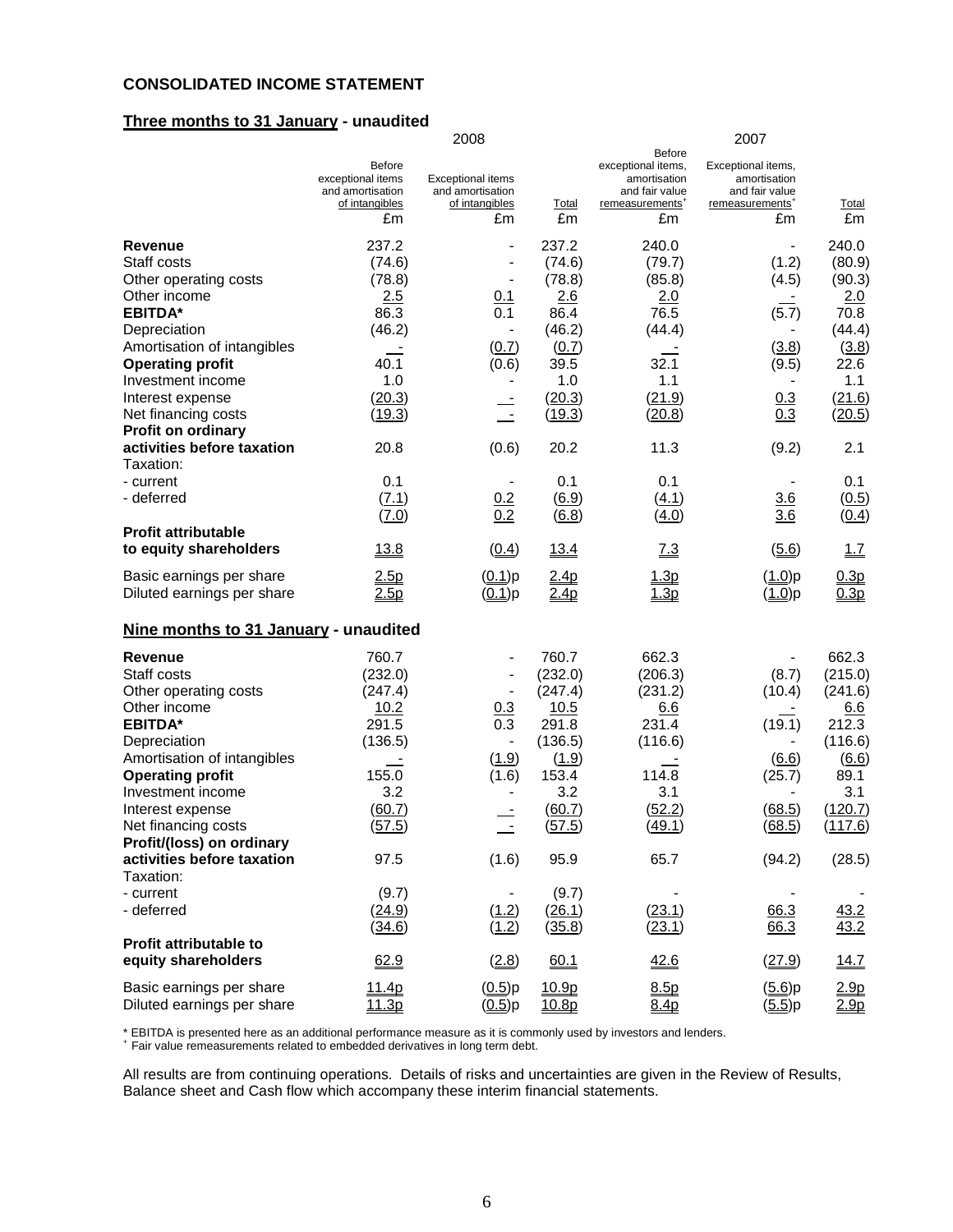#### **CONSOLIDATED INCOME STATEMENT**

#### **Three months to 31 January - unaudited**

2008 2007 **Before Before** Before exceptional items, Exceptional items, exceptional items, exceptional items, exceptional items, exceptional items, exceptional items, exceptional items, exceptional items, exceptional items, exceptional items, except Exceptional items amortisation<br>and amortisation<br>and fair value and fair value and fair value and amortisation and amortisation of intangibles of intangibles Total remeasurements<sup>+</sup> remeasurements<sup>+</sup> **Total** £m £m £m £m £m £m **Revenue** 237.2 - 237.2 240.0 - 240.0 Staff costs (74.6) - (74.6) (79.7) (1.2) (80.9) Other operating costs (78.8) - (78.8) (85.8) (4.5) (90.3)<br>
Other income 2.5 0.1 2.6 2.0 - 2.0 Other income 2.5 0.1 2.6 2.0 - 2.0 **EBITDA\*** 86.3 0.1 86.4 76.5 (5.7) 70.8 Depreciation (46.2) - (46.2) (44.4) - (44.4) Amortisation of intangibles  $\frac{1}{2.6}$  (0.7)  $\frac{(0.7)}{39.5}$  (3.8) (3.8) (3.8) (3.8) (3.8) **Operating profit 40.1** (0.6) 39.5 32.1 (9.5) 22.6<br>
Investment income **1.0** 1.0 1.1 1 Investment income  $1.0$   $1.1$   $1.1$   $1.1$   $1.1$ Interest expense (20.3) - (20.3) - (21.9) 0.3 (21.6) Net financing costs (19.3) - (19.3) (20.8) 0.3 (20.5) **Profit on ordinary activities before taxation** 20.8 (0.6) 20.2 11.3 (9.2) 2.1 Taxation: - current 201 - 0.1 - 0.1 0.1 - 0.1 - 0.1 - deferred (7.1) 0.2 (6.9) (4.1) 3.6 (0.5)  $(7.0)$   $0.2$   $(6.8)$   $(4.0)$   $3.6$   $(0.4)$ **Profit attributable to equity shareholders** 13.8 (0.4) 13.4 7.3 (5.6) 1.7 Basic earnings per share 2.5p (0.1)p 2.4p 1.3p (1.0)p 0.3p Diluted earnings per share  $\frac{2.5p}{2.5p}$  (0.1)p  $\frac{2.4p}{1.3p}$  (1.0)p 0.3p **Nine months to 31 January - unaudited Revenue** 760.7 - 760.7 662.3 - 662.3 Staff costs (232.0) - (232.0) (206.3) (8.7) (215.0) Other operating costs (247.4) - (247.4) (231.2) (10.4) (241.6) Other income  $\begin{array}{ccc} 10.2 & 0.3 & 10.5 & 6.6 & - & 6.6 \end{array}$ **EBITDA\*** 291.5 0.3 291.8 231.4 (19.1) 212.3 Depreciation (136.5) - (136.5) - (136.5) - (116.6) - (116.6)<br>Amortisation of intangibles - (1.9) (1.9) - (6.6) (6.6) (6.6) Amortisation of intangibles  $\qquad \qquad \_ \pm$  (1.9) (1.9)  $\qquad \_ \pm$  (6.6) (6.6) (6.6) **Operating profit** 155.0 (1.6) 153.4 114.8 (25.7) 89.1 Investment income  $3.2$   $3.2$   $3.1$   $3.1$   $3.1$ Interest expense (60.7) - (60.7) (52.2) (68.5) (120.7) Net financing costs (57.5) - (57.5) (49.1) (68.5) (117.6) **Profit/(loss) on ordinary activities before taxation** 97.5 (1.6) 95.9 65.7 (94.2) (28.5) Taxation: - current (9.7) - (9.7) - - - - deferred (<u>24.9</u>) (<u>1.2) (26.1) (23.1) 66.3 43.2</u> (34.6) (1.2) (35.8) (23.1) 66.3 43.2 **Profit attributable to equity shareholders 62.9** (2.8) 60.1 42.6 (27.9) 14.7 Basic earnings per share  $\frac{11.4p}{2.9p}$   $\frac{(0.5)p}{10.9p}$   $\frac{8.5p}{8.5p}$   $\frac{(5.6)p}{2.9p}$   $\frac{2.9p}{2.9p}$ Diluted earnings per share  $\frac{11.3p}{10.5p}$   $\frac{(0.5)p}{10.8p}$   $\frac{8.4p}{8.4p}$   $\frac{(5.5)p}{8.4p}$   $\frac{2.9p}{8.8p}$ 

\* EBITDA is presented here as an additional performance measure as it is commonly used by investors and lenders.

<sup>+</sup>Fair value remeasurements related to embedded derivatives in long term debt.

All results are from continuing operations. Details of risks and uncertainties are given in the Review of Results, Balance sheet and Cash flow which accompany these interim financial statements.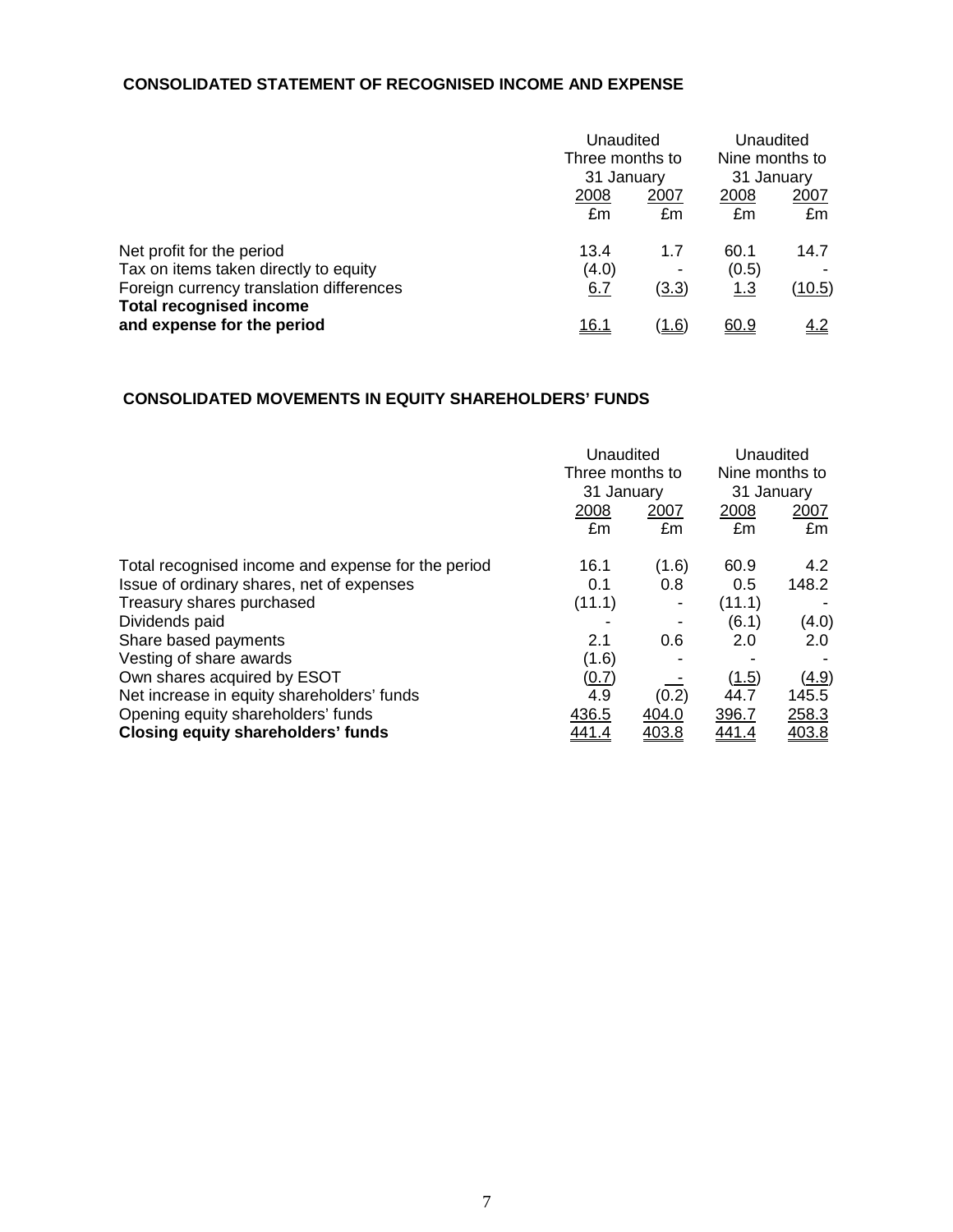## **CONSOLIDATED STATEMENT OF RECOGNISED INCOME AND EXPENSE**

|                                                              |              | Unaudited<br>Three months to |                              | Unaudited |
|--------------------------------------------------------------|--------------|------------------------------|------------------------------|-----------|
|                                                              | 31 January   |                              | Nine months to<br>31 January |           |
|                                                              | 2008         | 2007                         | 2008                         | 2007      |
|                                                              | £m           | £m                           | £m                           | £m        |
| Net profit for the period                                    | 13.4         | 1.7                          | 60.1                         | 14.7      |
| Tax on items taken directly to equity                        | (4.0)        | ٠                            | (0.5)                        |           |
| Foreign currency translation differences                     | <u>6.7</u>   | (3.3)                        | 1.3                          | (10.5)    |
| <b>Total recognised income</b><br>and expense for the period | <u> 16.1</u> | <u>(1.6)</u>                 | 60.9                         | 4.2       |

# **CONSOLIDATED MOVEMENTS IN EQUITY SHAREHOLDERS' FUNDS**

|                                                    |              | Unaudited<br>Three months to<br>31 January |            | Unaudited<br>Nine months to<br>31 January |
|----------------------------------------------------|--------------|--------------------------------------------|------------|-------------------------------------------|
|                                                    | 2008<br>£m   | 2007<br>£m                                 | 2008<br>£m | 2007<br>£m                                |
| Total recognised income and expense for the period | 16.1         | (1.6)                                      | 60.9       | 4.2                                       |
| Issue of ordinary shares, net of expenses          | 0.1          | 0.8                                        | 0.5        | 148.2                                     |
| Treasury shares purchased                          | (11.1)       |                                            | (11.1)     |                                           |
| Dividends paid                                     |              |                                            | (6.1)      | (4.0)                                     |
| Share based payments                               | 2.1          | 0.6                                        | 2.0        | $2.0^{\circ}$                             |
| Vesting of share awards                            | (1.6)        |                                            |            |                                           |
| Own shares acquired by ESOT                        | (0.7)        |                                            | (1.5)      | <u>(4.9)</u>                              |
| Net increase in equity shareholders' funds         | 4.9          | (0.2)                                      | 44.7       | 145.5                                     |
| Opening equity shareholders' funds                 | 436.5        | 404.0                                      | 396.7      | 258.3                                     |
| <b>Closing equity shareholders' funds</b>          | <u>441.4</u> | 403.8                                      | 441.4      | 403.8                                     |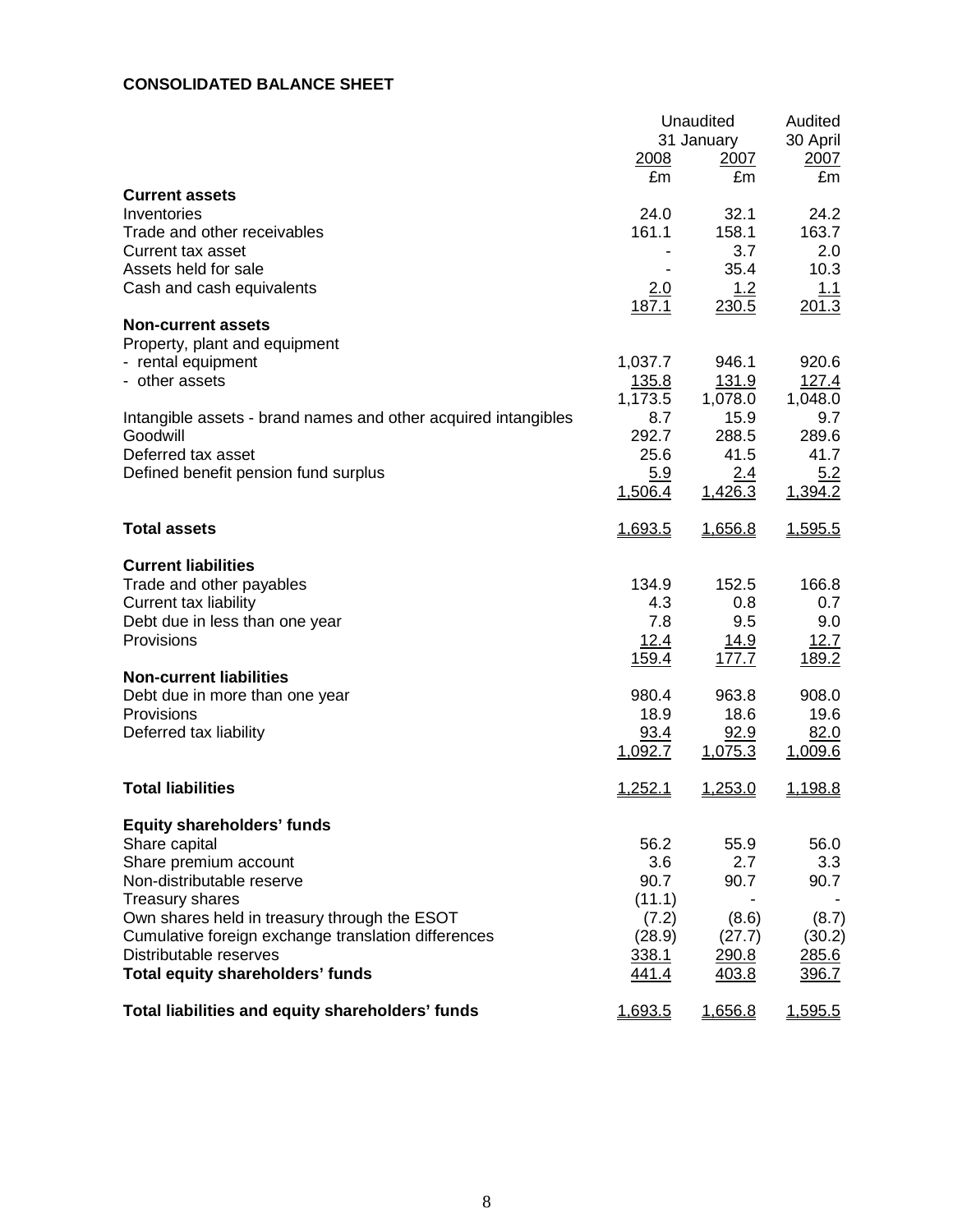## **CONSOLIDATED BALANCE SHEET**

|                                                                               | 2008           | Unaudited<br>31 January<br>2007 | Audited<br>30 April<br>2007 |  |
|-------------------------------------------------------------------------------|----------------|---------------------------------|-----------------------------|--|
| <b>Current assets</b>                                                         | £m             | £m                              | £m                          |  |
| Inventories                                                                   | 24.0           | 32.1                            | 24.2                        |  |
| Trade and other receivables                                                   | 161.1          | 158.1                           | 163.7                       |  |
| Current tax asset                                                             |                | 3.7                             | 2.0                         |  |
| Assets held for sale                                                          |                | 35.4                            | 10.3                        |  |
| Cash and cash equivalents                                                     | <u>2.0</u>     | <u>1.2</u>                      | <u>1.1</u>                  |  |
| <b>Non-current assets</b>                                                     | 187.1          | 230.5                           | 201.3                       |  |
| Property, plant and equipment                                                 |                |                                 |                             |  |
| - rental equipment                                                            | 1,037.7        | 946.1                           | 920.6                       |  |
| - other assets                                                                | 135.8          | 131.9                           | 127.4                       |  |
|                                                                               | 1,173.5        | 1,078.0                         | 1,048.0                     |  |
| Intangible assets - brand names and other acquired intangibles                | 8.7            | 15.9                            | 9.7                         |  |
| Goodwill<br>Deferred tax asset                                                | 292.7<br>25.6  | 288.5<br>41.5                   | 289.6<br>41.7               |  |
| Defined benefit pension fund surplus                                          | 5.9            | 2.4                             | 5.2                         |  |
|                                                                               | 1,506.4        | 1,426.3                         | 1,394.2                     |  |
|                                                                               |                |                                 |                             |  |
| <b>Total assets</b>                                                           | 1,693.5        | 1,656.8                         | 1,595.5                     |  |
| <b>Current liabilities</b>                                                    |                |                                 |                             |  |
| Trade and other payables                                                      | 134.9          | 152.5                           | 166.8                       |  |
| Current tax liability                                                         | 4.3            | 0.8                             | 0.7                         |  |
| Debt due in less than one year                                                | 7.8            | 9.5                             | 9.0                         |  |
| Provisions                                                                    | 12.4           | 14.9                            | 12.7                        |  |
| <b>Non-current liabilities</b>                                                | 159.4          | 177.7                           | 189.2                       |  |
| Debt due in more than one year                                                | 980.4          | 963.8                           | 908.0                       |  |
| Provisions                                                                    | 18.9           | 18.6                            | 19.6                        |  |
| Deferred tax liability                                                        | 93.4           | 92.9                            | 82.0                        |  |
|                                                                               | 1,092.7        | 1,075.3                         | <u>1,009.6</u>              |  |
| <b>Total liabilities</b>                                                      | <u>1,252.1</u> | 1,253.0                         | 1,198.8                     |  |
| <b>Equity shareholders' funds</b>                                             |                |                                 |                             |  |
| Share capital                                                                 | 56.2           | 55.9                            | 56.0                        |  |
| Share premium account                                                         | 3.6            | 2.7                             | 3.3                         |  |
| Non-distributable reserve                                                     | 90.7           | 90.7                            | 90.7                        |  |
| <b>Treasury shares</b>                                                        | (11.1)         |                                 |                             |  |
| Own shares held in treasury through the ESOT                                  | (7.2)          | (8.6)                           | (8.7)                       |  |
| Cumulative foreign exchange translation differences<br>Distributable reserves | (28.9)         | (27.7)                          | (30.2)<br>285.6             |  |
| <b>Total equity shareholders' funds</b>                                       | 338.1<br>441.4 | 290.8<br>403.8                  | 396.7                       |  |
|                                                                               |                |                                 |                             |  |
| Total liabilities and equity shareholders' funds                              | 1,693.5        | 1,656.8                         | 1,595.5                     |  |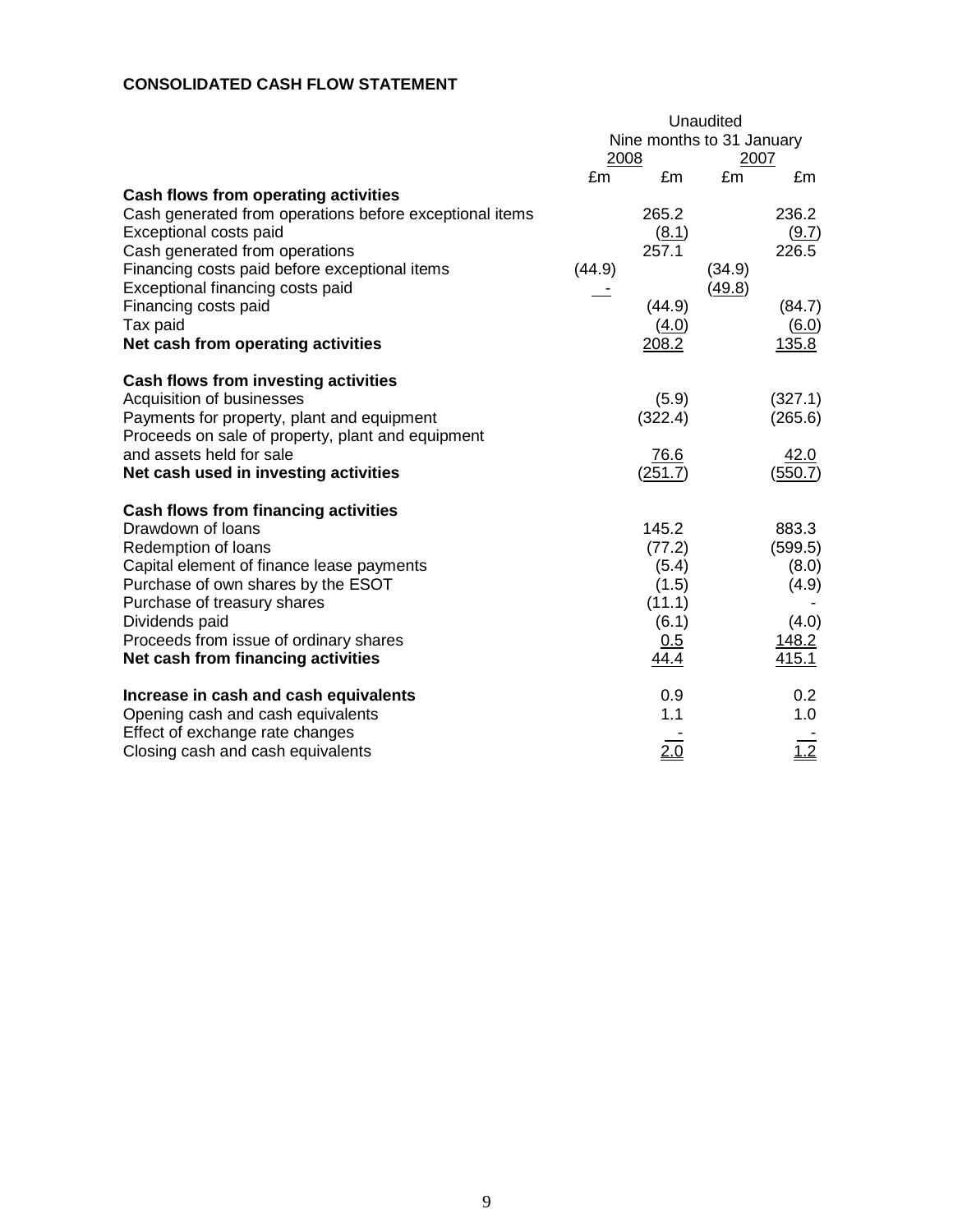## **CONSOLIDATED CASH FLOW STATEMENT**

|                                                                                                                                                                                                                                                                                                      | Unaudited |                                                                     |        |                                                               |  |
|------------------------------------------------------------------------------------------------------------------------------------------------------------------------------------------------------------------------------------------------------------------------------------------------------|-----------|---------------------------------------------------------------------|--------|---------------------------------------------------------------|--|
|                                                                                                                                                                                                                                                                                                      |           | Nine months to 31 January                                           |        |                                                               |  |
|                                                                                                                                                                                                                                                                                                      | 2008      |                                                                     | 2007   |                                                               |  |
|                                                                                                                                                                                                                                                                                                      | £m        | £m                                                                  | £m     | £m                                                            |  |
| Cash flows from operating activities<br>Cash generated from operations before exceptional items<br>Exceptional costs paid<br>Cash generated from operations<br>Financing costs paid before exceptional items                                                                                         | (44.9)    | 265.2<br>(8.1)<br>257.1                                             | (34.9) | 236.2<br>(9.7)<br>226.5                                       |  |
| Exceptional financing costs paid<br>Financing costs paid<br>Tax paid<br>Net cash from operating activities                                                                                                                                                                                           |           | (44.9)<br>(4.0)<br>208.2                                            | (49.8) | (84.7)<br>(6.0)<br>135.8                                      |  |
| Cash flows from investing activities<br>Acquisition of businesses<br>Payments for property, plant and equipment<br>Proceeds on sale of property, plant and equipment                                                                                                                                 |           | (5.9)<br>(322.4)                                                    |        | (327.1)<br>(265.6)                                            |  |
| and assets held for sale<br>Net cash used in investing activities                                                                                                                                                                                                                                    |           | 76.6<br>(251.7)                                                     |        | 42.0<br>(550.7)                                               |  |
| Cash flows from financing activities<br>Drawdown of loans<br>Redemption of loans<br>Capital element of finance lease payments<br>Purchase of own shares by the ESOT<br>Purchase of treasury shares<br>Dividends paid<br>Proceeds from issue of ordinary shares<br>Net cash from financing activities |           | 145.2<br>(77.2)<br>(5.4)<br>(1.5)<br>(11.1)<br>(6.1)<br>0.5<br>44.4 |        | 883.3<br>(599.5)<br>(8.0)<br>(4.9)<br>(4.0)<br>148.2<br>415.1 |  |
| Increase in cash and cash equivalents<br>Opening cash and cash equivalents                                                                                                                                                                                                                           |           | 0.9<br>1.1                                                          |        | 0.2<br>1.0                                                    |  |
| Effect of exchange rate changes<br>Closing cash and cash equivalents                                                                                                                                                                                                                                 |           | 2.0                                                                 |        | $\frac{1}{1.2}$                                               |  |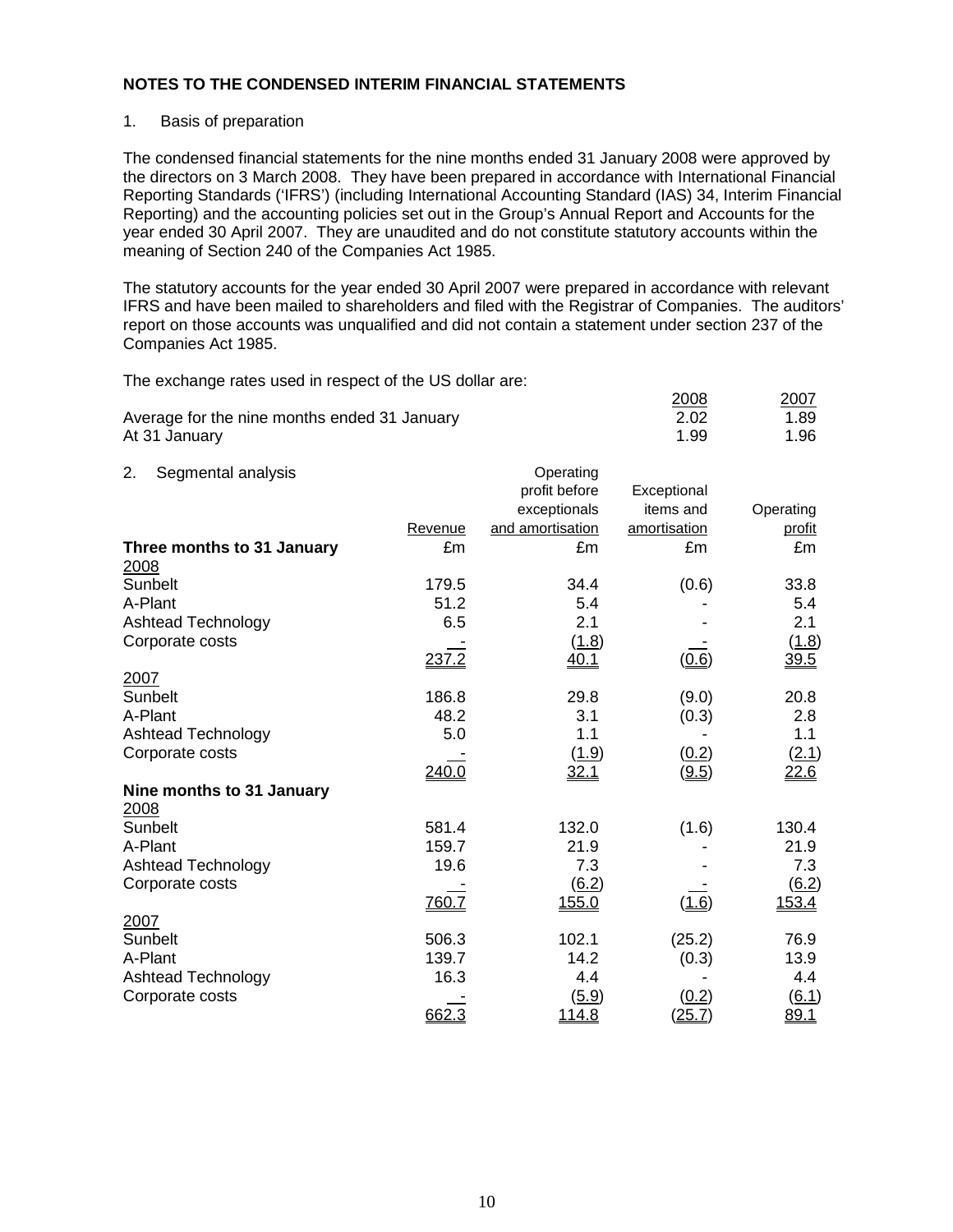#### 1. Basis of preparation

The condensed financial statements for the nine months ended 31 January 2008 were approved by the directors on 3 March 2008. They have been prepared in accordance with International Financial Reporting Standards ('IFRS') (including International Accounting Standard (IAS) 34, Interim Financial Reporting) and the accounting policies set out in the Group's Annual Report and Accounts for the year ended 30 April 2007. They are unaudited and do not constitute statutory accounts within the meaning of Section 240 of the Companies Act 1985.

The statutory accounts for the year ended 30 April 2007 were prepared in accordance with relevant IFRS and have been mailed to shareholders and filed with the Registrar of Companies. The auditors' report on those accounts was unqualified and did not contain a statement under section 237 of the Companies Act 1985.

The exchange rates used in respect of the US dollar are:

|                                              |         |                  | 2008         | 2007      |
|----------------------------------------------|---------|------------------|--------------|-----------|
| Average for the nine months ended 31 January |         |                  | 2.02         | 1.89      |
| At 31 January                                |         |                  | 1.99         | 1.96      |
|                                              |         |                  |              |           |
| Segmental analysis<br>2.                     |         | Operating        |              |           |
|                                              |         | profit before    | Exceptional  |           |
|                                              |         | exceptionals     | items and    | Operating |
|                                              | Revenue | and amortisation | amortisation | profit    |
| Three months to 31 January                   | £m      | £m               | £m           | £m        |
| 2008                                         |         |                  |              |           |
| Sunbelt                                      | 179.5   | 34.4             | (0.6)        | 33.8      |
| A-Plant                                      | 51.2    | 5.4              |              | 5.4       |
| Ashtead Technology                           | 6.5     | 2.1              |              | 2.1       |
|                                              |         |                  |              |           |

| Corporate costs           |       | (1.8)               |              | (1.8)               |
|---------------------------|-------|---------------------|--------------|---------------------|
|                           | 237.2 | <u>40.1</u>         | (0.6)        | 39.5                |
| 2007                      |       |                     |              |                     |
| Sunbelt                   | 186.8 | 29.8                | (9.0)        | 20.8                |
| A-Plant                   | 48.2  | 3.1                 | (0.3)        | 2.8                 |
| Ashtead Technology        | 5.0   | 1.1                 |              | 1.1                 |
| Corporate costs           |       | (1.9)               | (0.2)        | (2.1)               |
|                           | 240.0 | <u>32.1</u>         | (9.5)        | 22.6                |
| Nine months to 31 January |       |                     |              |                     |
| 2008                      |       |                     |              |                     |
| Sunbelt                   | 581.4 | 132.0               | (1.6)        | 130.4               |
| A-Plant                   | 159.7 | 21.9                |              | 21.9                |
| Ashtead Technology        | 19.6  | 7.3                 |              | 7.3                 |
| Corporate costs           |       | $\underline{(6.2)}$ |              | $\underline{(6.2)}$ |
|                           | 760.7 | 155.0               | <u>(1.6)</u> | 153.4               |
| 2007                      |       |                     |              |                     |
| Sunbelt                   | 506.3 | 102.1               | (25.2)       | 76.9                |
| A-Plant                   | 139.7 | 14.2                | (0.3)        | 13.9                |
| <b>Ashtead Technology</b> | 16.3  | 4.4                 |              | 4.4                 |
| Corporate costs           |       | (5.9)               | (0.2)        | (6.1)               |

662.3 114.8 (25.7) 89.1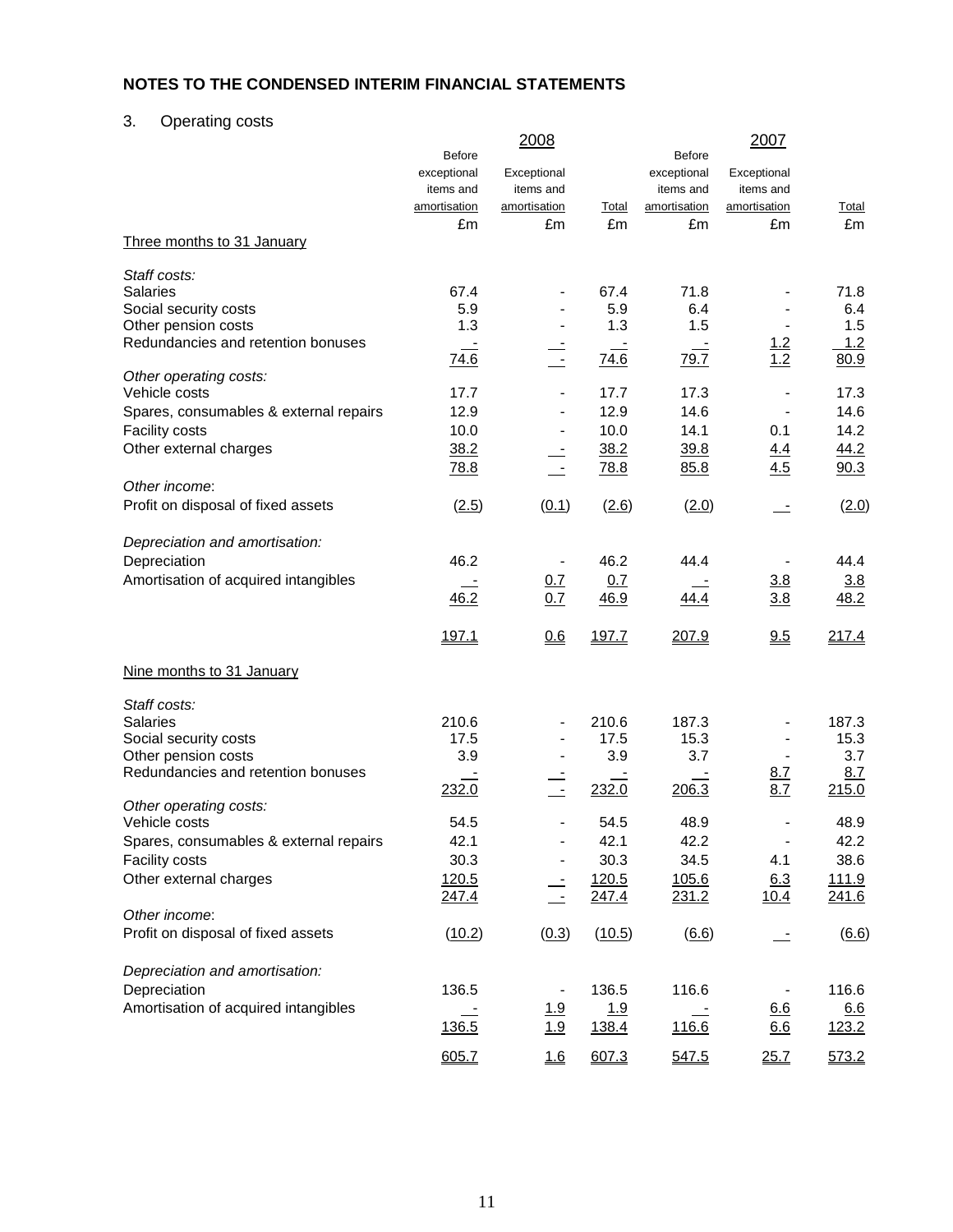# 3. Operating costs

|                                         | <b>Before</b> | 2008                     |        | <b>Before</b>    | 2007           |              |
|-----------------------------------------|---------------|--------------------------|--------|------------------|----------------|--------------|
|                                         | exceptional   | Exceptional              |        | exceptional      | Exceptional    |              |
|                                         | items and     | items and                |        | items and        | items and      |              |
|                                         | amortisation  | amortisation             | Total  | amortisation     | amortisation   | <u>Total</u> |
|                                         | £m            | £m                       | £m     | £m               | £m             | £m           |
| Three months to 31 January              |               |                          |        |                  |                |              |
| Staff costs:                            |               |                          |        |                  |                |              |
| <b>Salaries</b>                         | 67.4          |                          | 67.4   | 71.8             |                | 71.8         |
| Social security costs                   | 5.9           |                          | 5.9    | 6.4              |                | 6.4          |
| Other pension costs                     | 1.3           |                          | 1.3    | 1.5              |                | 1.5          |
| Redundancies and retention bonuses      |               |                          |        | $\equiv$<br>79.7 | 1.2<br>1.2     | 1.2          |
| Other operating costs:                  | 74.6          | $\equiv$                 | 74.6   |                  |                | 80.9         |
| Vehicle costs                           | 17.7          |                          | 17.7   | 17.3             |                | 17.3         |
| Spares, consumables & external repairs  | 12.9          |                          | 12.9   | 14.6             |                | 14.6         |
| <b>Facility costs</b>                   | 10.0          |                          | 10.0   | 14.1             | 0.1            | 14.2         |
| Other external charges                  | 38.2          |                          | 38.2   | 39.8             | 4.4            | 44.2         |
|                                         | 78.8          |                          | 78.8   | 85.8             | 4.5            | 90.3         |
| Other income:                           |               |                          |        |                  |                |              |
| Profit on disposal of fixed assets      | (2.5)         | (0.1)                    | (2.6)  | (2.0)            |                | (2.0)        |
| Depreciation and amortisation:          |               |                          |        |                  |                |              |
| Depreciation                            | 46.2          |                          | 46.2   | 44.4             |                | 44.4         |
| Amortisation of acquired intangibles    |               | 0.7                      | 0.7    |                  | 3.8            | 3.8          |
|                                         | 46.2          | 0.7                      | 46.9   | 44.4             | 3.8            | 48.2         |
|                                         | 197.1         | 0.6                      | 197.7  | 207.9            | 9.5            | 217.4        |
| Nine months to 31 January               |               |                          |        |                  |                |              |
| Staff costs:                            |               |                          |        |                  |                |              |
| <b>Salaries</b>                         | 210.6         |                          | 210.6  | 187.3            |                | 187.3        |
| Social security costs                   | 17.5          |                          | 17.5   | 15.3             |                | 15.3         |
| Other pension costs                     | 3.9           |                          | 3.9    | 3.7              |                | 3.7          |
| Redundancies and retention bonuses      |               |                          |        |                  | <u>8.7</u>     | 8.7          |
|                                         | 232.0         | $\overline{\phantom{a}}$ | 232.0  | 206.3            | 8.7            | 215.0        |
| Other operating costs:<br>Vehicle costs | 54.5          |                          | 54.5   | 48.9             |                | 48.9         |
| Spares, consumables & external repairs  | 42.1          |                          | 42.1   | 42.2             | $\blacksquare$ | 42.2         |
| Facility costs                          | 30.3          |                          | 30.3   | 34.5             | 4.1            | 38.6         |
| Other external charges                  | 120.5         |                          | 120.5  | 105.6            | 6.3            | <u>111.9</u> |
|                                         | 247.4         | $\equiv$                 | 247.4  | 231.2            | <u>10.4</u>    | 241.6        |
| Other income:                           |               |                          |        |                  |                |              |
| Profit on disposal of fixed assets      | (10.2)        | (0.3)                    | (10.5) | (6.6)            |                | (6.6)        |
| Depreciation and amortisation:          |               |                          |        |                  |                |              |
| Depreciation                            | 136.5         |                          | 136.5  | 116.6            |                | 116.6        |
| Amortisation of acquired intangibles    |               | 1.9                      | 1.9    |                  | 6.6            | 6.6          |
|                                         | 136.5         | 1.9                      | 138.4  | 116.6            | 6.6            | <u>123.2</u> |
|                                         | 605.7         | 1.6                      | 607.3  | 547.5            | 25.7           | 573.2        |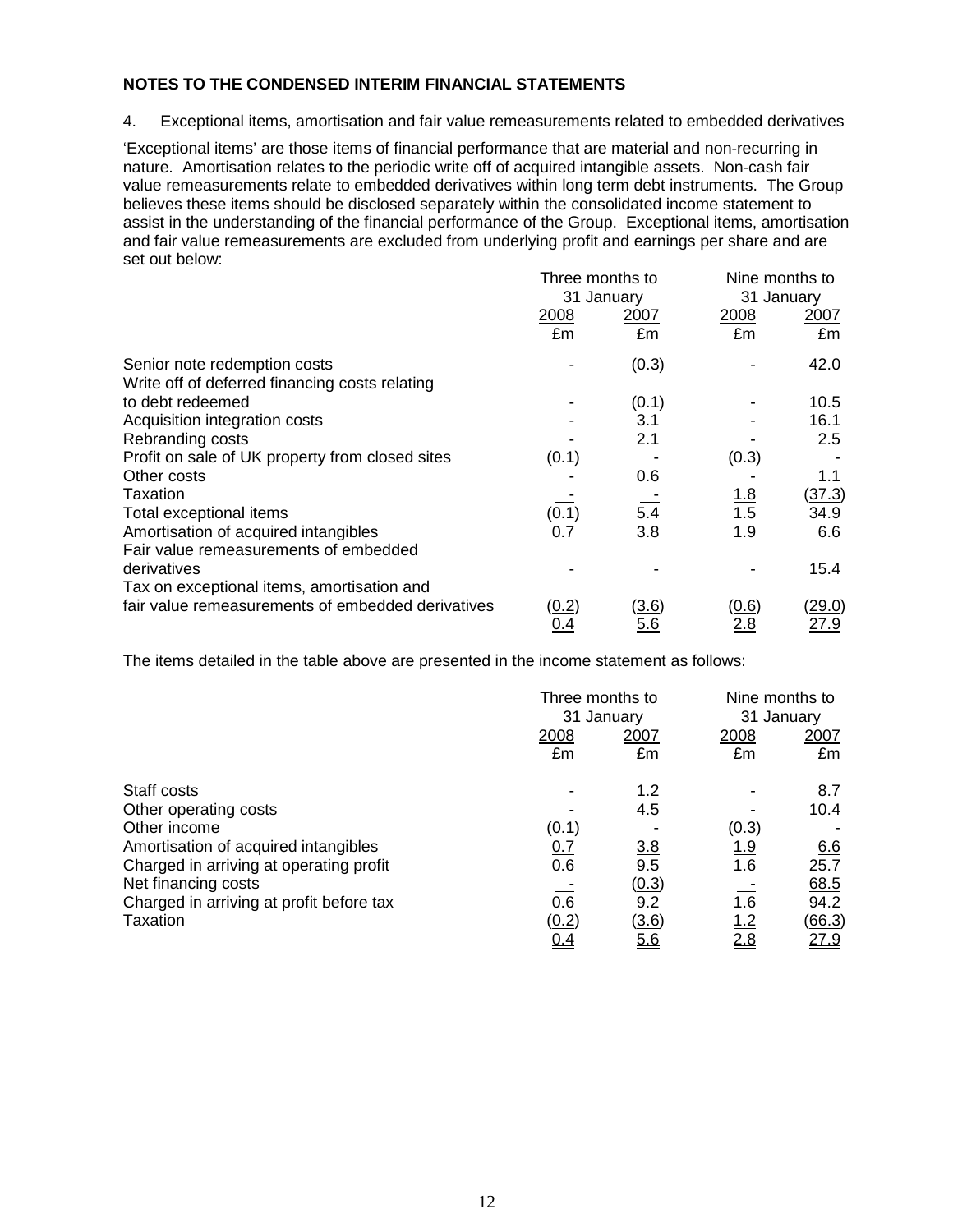4. Exceptional items, amortisation and fair value remeasurements related to embedded derivatives

'Exceptional items' are those items of financial performance that are material and non-recurring in nature. Amortisation relates to the periodic write off of acquired intangible assets. Non-cash fair value remeasurements relate to embedded derivatives within long term debt instruments. The Group believes these items should be disclosed separately within the consolidated income statement to assist in the understanding of the financial performance of the Group.Exceptional items, amortisation and fair value remeasurements are excluded from underlying profit and earnings per share and are set out below:

|                                                   | Three months to |       | Nine months to |               |  |
|---------------------------------------------------|-----------------|-------|----------------|---------------|--|
|                                                   | 31 January      |       |                | 31 January    |  |
|                                                   | 2008            | 2007  | 2008           | 2007          |  |
|                                                   | £m              | £m    | £m             | £m            |  |
| Senior note redemption costs                      |                 | (0.3) |                | 42.0          |  |
| Write off of deferred financing costs relating    |                 |       |                |               |  |
| to debt redeemed                                  |                 | (0.1) |                | 10.5          |  |
| Acquisition integration costs                     |                 | 3.1   |                | 16.1          |  |
| Rebranding costs                                  |                 | 2.1   |                | 2.5           |  |
| Profit on sale of UK property from closed sites   | (0.1)           |       | (0.3)          |               |  |
| Other costs                                       |                 | 0.6   |                | 1.1           |  |
| Taxation                                          |                 |       | <u>1.8</u>     | <u>(37.3)</u> |  |
| Total exceptional items                           | (0.1)           | 5.4   | 1.5            | 34.9          |  |
| Amortisation of acquired intangibles              | 0.7             | 3.8   | 1.9            | 6.6           |  |
| Fair value remeasurements of embedded             |                 |       |                |               |  |
| derivatives                                       |                 |       |                | 15.4          |  |
| Tax on exceptional items, amortisation and        |                 |       |                |               |  |
| fair value remeasurements of embedded derivatives | <u>(0.2)</u>    | (3.6) | <u>(0.6)</u>   | <u>(29.0)</u> |  |
|                                                   | 0.4             | 5.6   | 2.8            | 27.9          |  |

The items detailed in the table above are presented in the income statement as follows:

|                                          |            | Three months to<br>31 January |             | Nine months to<br>31 January |
|------------------------------------------|------------|-------------------------------|-------------|------------------------------|
|                                          | 2008<br>£m | 2007<br>£m                    | 2008<br>£m  | 2007<br>£m                   |
| Staff costs                              |            | 1.2                           |             | 8.7                          |
| Other operating costs                    |            | 4.5                           |             | 10.4                         |
| Other income                             | (0.1)      |                               | (0.3)       |                              |
| Amortisation of acquired intangibles     | 0.7        | 3.8                           | <u> 1.9</u> | 6.6                          |
| Charged in arriving at operating profit  | 0.6        | 9.5                           | 1.6         | 25.7                         |
| Net financing costs                      |            | (0.3)                         |             | <u>68.5</u>                  |
| Charged in arriving at profit before tax | 0.6        | 9.2                           | 1.6         | 94.2                         |
| Taxation                                 | (0.2)      | (3.6)                         | <u>1.2</u>  | <u>(66.3)</u>                |
|                                          | <u>0.4</u> | 5.6                           | 2.8         | 27.9                         |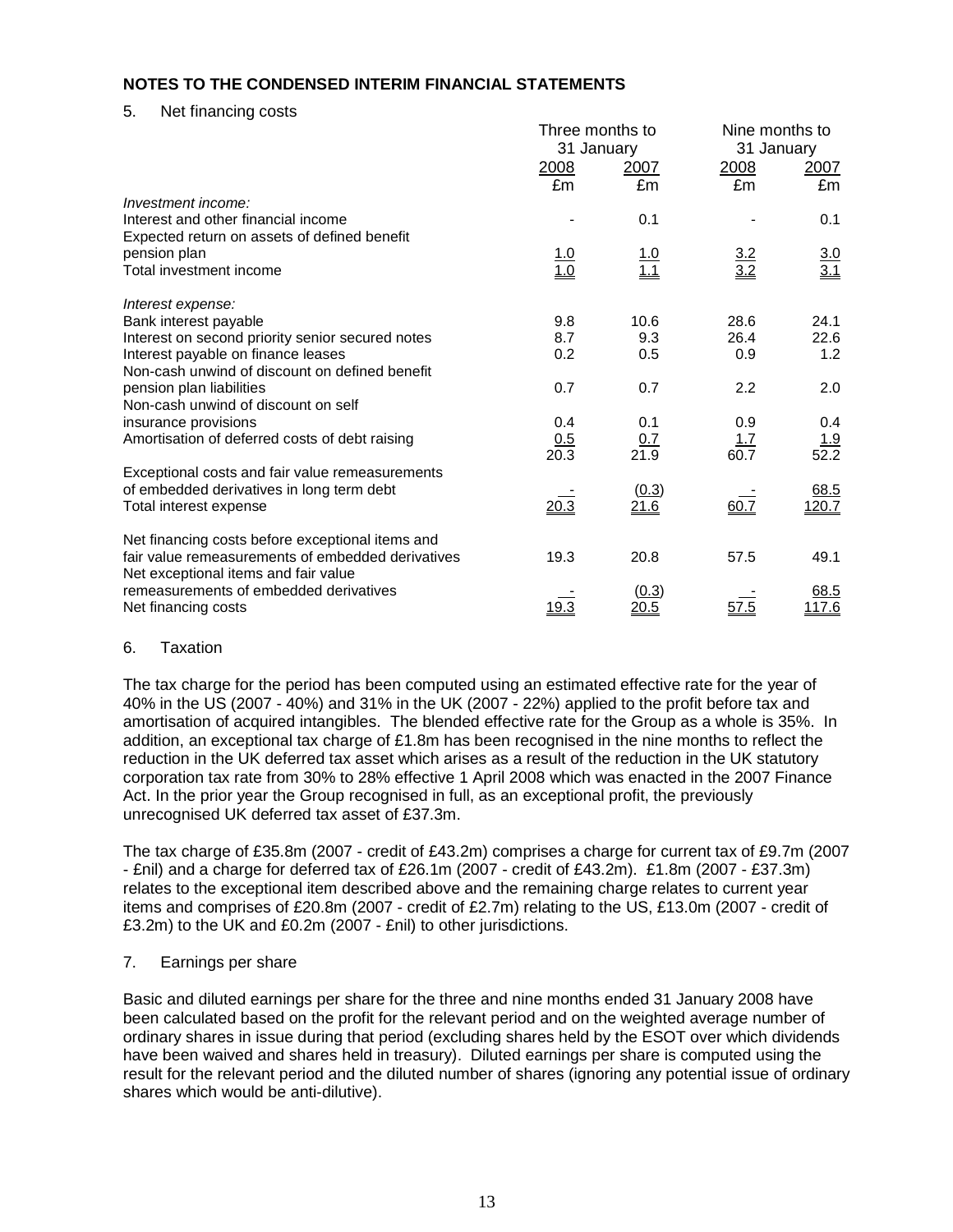5. Net financing costs

|                                                   |                   | Three months to   | Nine months to    |                    |  |
|---------------------------------------------------|-------------------|-------------------|-------------------|--------------------|--|
|                                                   |                   | 31 January        | 31 January        |                    |  |
|                                                   | 2008              | 2007              | 2008<br>2007      |                    |  |
|                                                   | £m                | £m                | £m                | £m                 |  |
| Investment income:                                |                   |                   |                   |                    |  |
| Interest and other financial income               |                   | 0.1               |                   | 0.1                |  |
| Expected return on assets of defined benefit      |                   |                   |                   |                    |  |
| pension plan                                      |                   |                   |                   |                    |  |
| Total investment income                           | $\frac{1.0}{1.0}$ | $\frac{1.0}{1.1}$ | $\frac{3.2}{3.2}$ | $\frac{3.0}{3.1}$  |  |
| Interest expense:                                 |                   |                   |                   |                    |  |
| Bank interest payable                             | 9.8               | 10.6              | 28.6              | 24.1               |  |
| Interest on second priority senior secured notes  | 8.7               | 9.3               | 26.4              | 22.6               |  |
| Interest payable on finance leases                | 0.2               | 0.5               | 0.9               | 1.2                |  |
| Non-cash unwind of discount on defined benefit    |                   |                   |                   |                    |  |
| pension plan liabilities                          | 0.7               | 0.7               | 2.2               | 2.0                |  |
| Non-cash unwind of discount on self               |                   |                   |                   |                    |  |
| insurance provisions                              | 0.4               | 0.1               | 0.9               | 0.4                |  |
| Amortisation of deferred costs of debt raising    | 0.5               | 0.7               | 1.7               | $\frac{1.9}{52.2}$ |  |
|                                                   | 20.3              | 21.9              | 60.7              |                    |  |
| Exceptional costs and fair value remeasurements   |                   |                   |                   |                    |  |
| of embedded derivatives in long term debt         |                   | (0.3)             |                   | 68.5               |  |
| Total interest expense                            | 20.3              | 21.6              | 60.7              | 120.7              |  |
| Net financing costs before exceptional items and  |                   |                   |                   |                    |  |
| fair value remeasurements of embedded derivatives | 19.3              | 20.8              | 57.5              | 49.1               |  |
| Net exceptional items and fair value              |                   |                   |                   |                    |  |
| remeasurements of embedded derivatives            |                   | (0.3)             |                   | 68.5               |  |
| Net financing costs                               | 19.3              | 20.5              | 57.5              | 117.6              |  |

#### 6. Taxation

The tax charge for the period has been computed using an estimated effective rate for the year of 40% in the US (2007 - 40%) and 31% in the UK (2007 - 22%) applied to the profit before tax and amortisation of acquired intangibles. The blended effective rate for the Group as a whole is 35%. In addition, an exceptional tax charge of £1.8m has been recognised in the nine months to reflect the reduction in the UK deferred tax asset which arises as a result of the reduction in the UK statutory corporation tax rate from 30% to 28% effective 1 April 2008 which was enacted in the 2007 Finance Act. In the prior year the Group recognised in full, as an exceptional profit, the previously unrecognised UK deferred tax asset of £37.3m.

The tax charge of £35.8m (2007 - credit of £43.2m) comprises a charge for current tax of £9.7m (2007 - £nil) and a charge for deferred tax of £26.1m (2007 - credit of £43.2m). £1.8m (2007 - £37.3m) relates to the exceptional item described above and the remaining charge relates to current year items and comprises of £20.8m (2007 - credit of £2.7m) relating to the US, £13.0m (2007 - credit of £3.2m) to the UK and £0.2m (2007 - £nil) to other jurisdictions.

## 7. Earnings per share

Basic and diluted earnings per share for the three and nine months ended 31 January 2008 have been calculated based on the profit for the relevant period and on the weighted average number of ordinary shares in issue during that period (excluding shares held by the ESOT over which dividends have been waived and shares held in treasury). Diluted earnings per share is computed using the result for the relevant period and the diluted number of shares (ignoring any potential issue of ordinary shares which would be anti-dilutive).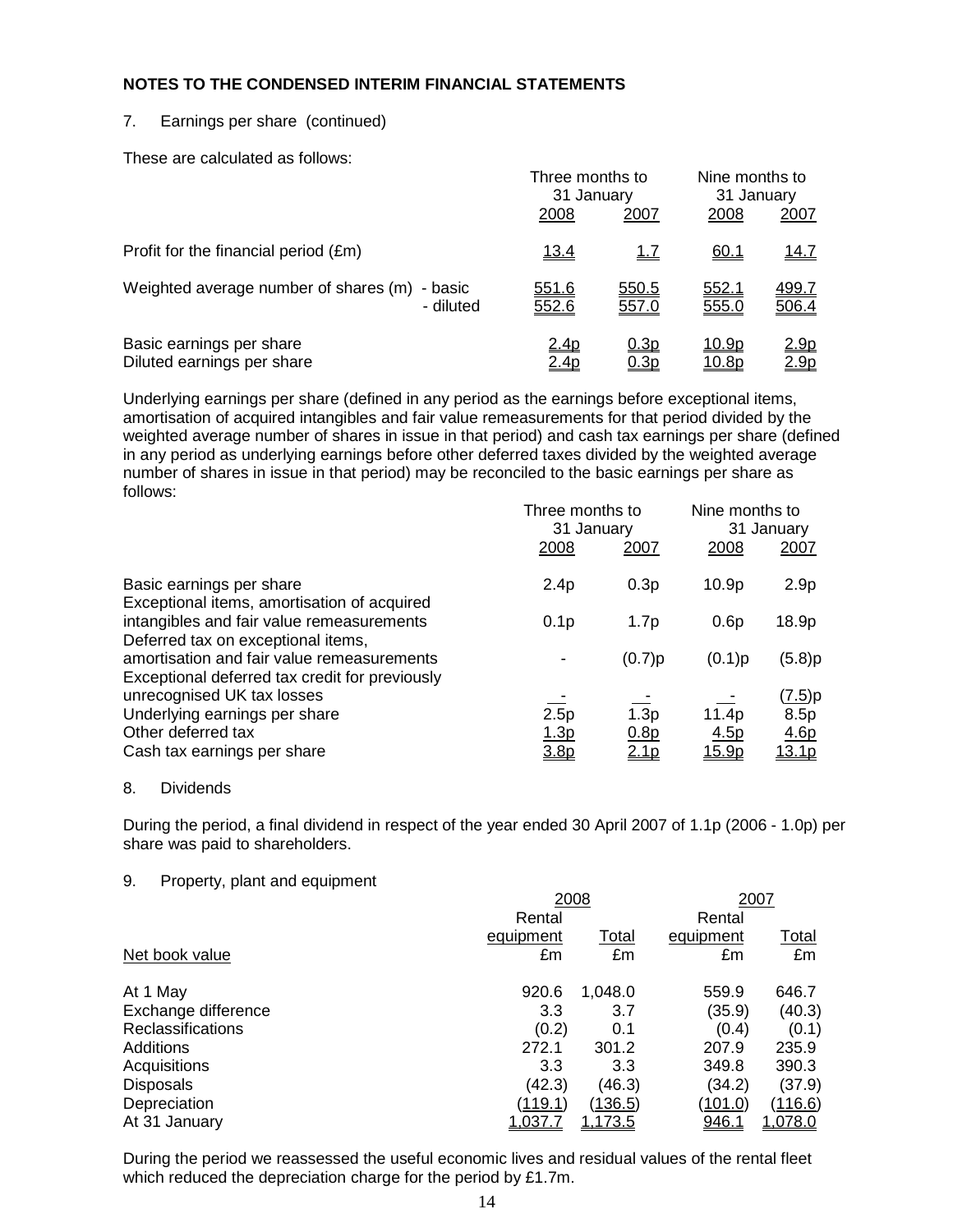## 7. Earnings per share (continued)

These are calculated as follows:

|                                                            | Three months to<br>31 January |                     | Nine months to<br>31 January |                                  |
|------------------------------------------------------------|-------------------------------|---------------------|------------------------------|----------------------------------|
|                                                            | 2008                          | 2007                | 2008                         | 2007                             |
| Profit for the financial period (£m)                       | <u>13.4</u>                   | 1.7                 | 60.1                         | <u>14.7</u>                      |
| Weighted average number of shares (m) - basic<br>- diluted | 551.6<br>552.6                | 550.5<br>557.0      | 552.1<br>555.0               | 499.7<br>506.4                   |
| Basic earnings per share<br>Diluted earnings per share     | <u>2.4p</u><br>2.4p           | <u>0.3p</u><br>0.3p | <u>10.9p</u><br>10.8p        | <u> 2.9p</u><br>2.9 <sub>p</sub> |

Underlying earnings per share (defined in any period as the earnings before exceptional items, amortisation of acquired intangibles and fair value remeasurements for that period divided by the weighted average number of shares in issue in that period) and cash tax earnings per share (defined in any period as underlying earnings before other deferred taxes divided by the weighted average number of shares in issue in that period) may be reconciled to the basic earnings per share as follows:

| Three months to<br>31 January |                  | Nine months to<br>31 January |                  |
|-------------------------------|------------------|------------------------------|------------------|
| 2008                          | 2007             | 2008                         | 2007             |
| 2.4p                          | 0.3p             | 10.9p                        | 2.9 <sub>p</sub> |
| 0.1 <sub>p</sub>              | 1.7p             | 0.6p                         | 18.9p            |
|                               | (0.7)p           | (0.1)p                       | (5.8)p           |
|                               |                  |                              | ( <u>7.5</u> )p  |
|                               |                  |                              | 8.5p             |
| <u>1.3p</u>                   | 0.8p             | 4.5p                         | 4.6p             |
| 3.8 <sub>p</sub>              | 2.1 <sub>p</sub> | <u>15.9p</u>                 | <u> 13.1p</u>    |
|                               | 2.5p             | 1.3p                         | 11.4p            |

#### 8. Dividends

During the period, a final dividend in respect of the year ended 30 April 2007 of 1.1p (2006 - 1.0p) per share was paid to shareholders.

## 9. Property, plant and equipment

|                          | 2008      | 2007           |                |                |
|--------------------------|-----------|----------------|----------------|----------------|
|                          | Rental    |                | Rental         |                |
|                          | equipment | Total          | equipment      | Total          |
| Net book value           | £m        | £m             | £m             | £m             |
| At 1 May                 | 920.6     | 1,048.0        | 559.9          | 646.7          |
| Exchange difference      | 3.3       | 3.7            | (35.9)         | (40.3)         |
| <b>Reclassifications</b> | (0.2)     | 0.1            | (0.4)          | (0.1)          |
| Additions                | 272.1     | 301.2          | 207.9          | 235.9          |
| Acquisitions             | 3.3       | 3.3            | 349.8          | 390.3          |
| <b>Disposals</b>         | (42.3)    | (46.3)         | (34.2)         | (37.9)         |
| Depreciation             | (119.1)   | <u>(136.5)</u> | <u>(101.0)</u> | <u>(116.6)</u> |
| At 31 January            | 1,037.7   | <u>1,173.5</u> | 946.1          | <u>1,078.0</u> |

During the period we reassessed the useful economic lives and residual values of the rental fleet which reduced the depreciation charge for the period by £1.7m.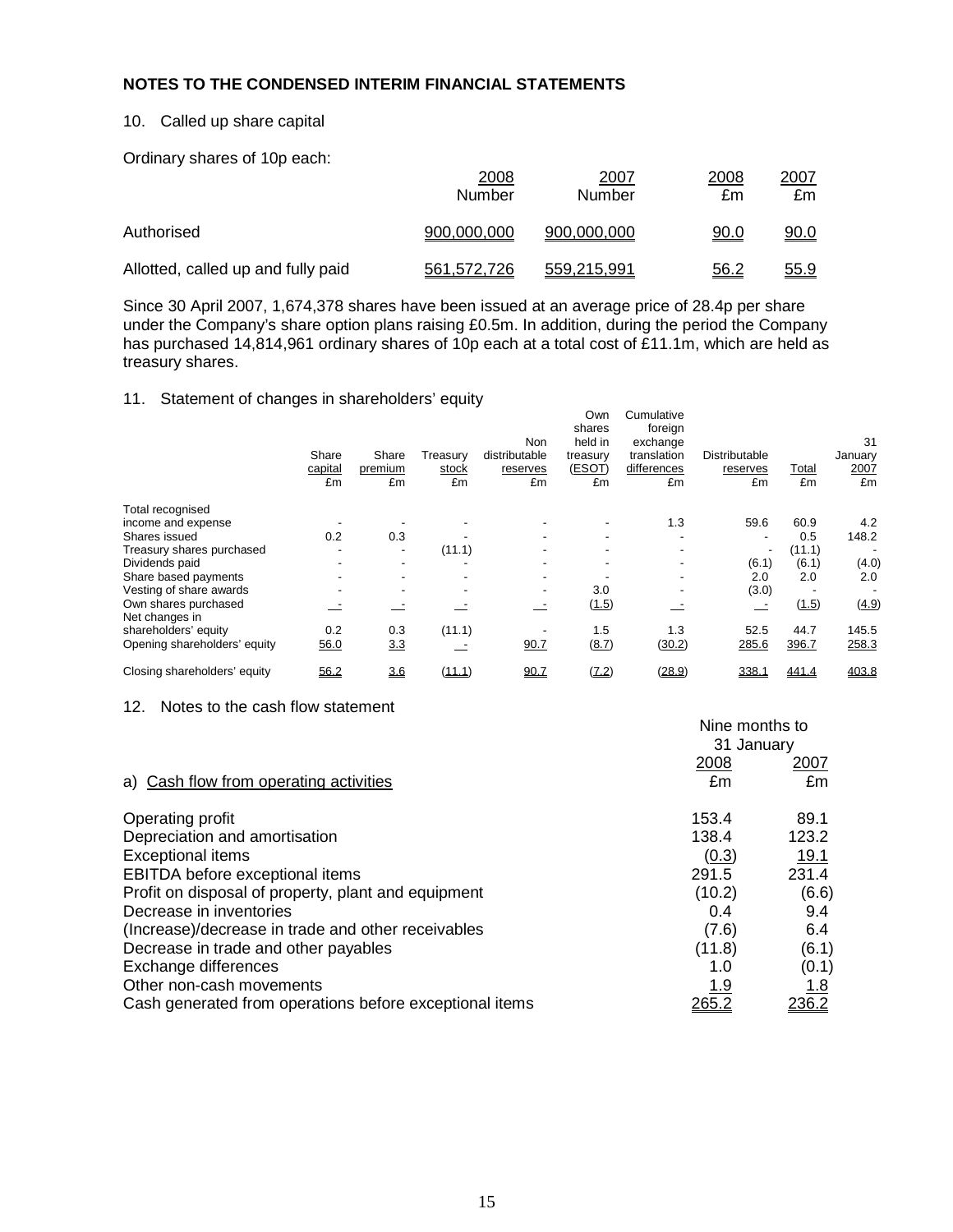## 10. Called up share capital

Ordinary shares of 10p each:

|                                    | 2008<br>Number | 2007<br>Number | 2008<br>£m  | 2007<br>£m  |
|------------------------------------|----------------|----------------|-------------|-------------|
| Authorised                         | 900.000.000    | 900.000.000    | <u>90.0</u> | <u>90.0</u> |
| Allotted, called up and fully paid | 561,572,726    | 559.215.991    | <u>56.2</u> | <u>55.9</u> |

Since 30 April 2007, 1,674,378 shares have been issued at an average price of 28.4p per share under the Company's share option plans raising £0.5m. In addition, during the period the Company has purchased 14,814,961 ordinary shares of 10p each at a total cost of £11.1m, which are held as treasury shares.

## 11. Statement of changes in shareholders' equity

|                              | ັ<br>Share<br>capital<br>£m | Share<br>premium<br>£m   | Treasury<br>stock<br>£m | Non<br>distributable<br>reserves<br>£m | Own<br>shares<br>held in<br>treasury<br>(ESOT)<br>£m | Cumulative<br>foreign<br>exchange<br>translation<br>differences<br>£m | Distributable<br>reserves<br>£m | Total<br>£m | 31<br>January<br>2007<br>£m |
|------------------------------|-----------------------------|--------------------------|-------------------------|----------------------------------------|------------------------------------------------------|-----------------------------------------------------------------------|---------------------------------|-------------|-----------------------------|
| Total recognised             |                             |                          |                         |                                        |                                                      |                                                                       |                                 |             |                             |
| income and expense           |                             |                          |                         |                                        |                                                      | 1.3                                                                   | 59.6                            | 60.9        | 4.2                         |
| Shares issued                | 0.2                         | 0.3                      |                         |                                        |                                                      |                                                                       |                                 | 0.5         | 148.2                       |
| Treasury shares purchased    |                             | $\overline{\phantom{a}}$ | (11.1)                  |                                        |                                                      | -                                                                     |                                 | (11.1)      |                             |
| Dividends paid               |                             |                          |                         |                                        |                                                      | -                                                                     | (6.1)                           | (6.1)       | (4.0)                       |
| Share based payments         |                             |                          |                         |                                        |                                                      | ۰                                                                     | 2.0                             | 2.0         | 2.0                         |
| Vesting of share awards      |                             |                          |                         |                                        | 3.0                                                  | ٠                                                                     | (3.0)                           |             |                             |
| Own shares purchased         |                             |                          |                         |                                        | (1.5)                                                |                                                                       |                                 | (1.5)       | (4.9)                       |
| Net changes in               |                             |                          |                         |                                        |                                                      |                                                                       |                                 |             |                             |
| shareholders' equity         | 0.2                         | 0.3                      | (11.1)                  |                                        | 1.5                                                  | 1.3                                                                   | 52.5                            | 44.7        | 145.5                       |
| Opening shareholders' equity | 56.0                        | 3.3                      |                         | 90.7                                   | (8.7)                                                | (30.2)                                                                | 285.6                           | 396.7       | 258.3                       |
| Closing shareholders' equity | 56.2                        | 3.6                      | (11.1)                  | 90.7                                   | (7.2)                                                | (28.9)                                                                | 338.1                           | 441.4       | 403.8                       |

#### 12. Notes to the cash flow statement

|                                                         | Nine months to |               |
|---------------------------------------------------------|----------------|---------------|
|                                                         | 31 January     |               |
|                                                         | <u>2008</u>    | <u> 2007 </u> |
| a) Cash flow from operating activities                  | £m             | £m            |
| Operating profit                                        | 153.4          | 89.1          |
| Depreciation and amortisation                           | 138.4          | 123.2         |
| <b>Exceptional items</b>                                | (0.3)          | <u>19.1</u>   |
| EBITDA before exceptional items                         | 291.5          | 231.4         |
| Profit on disposal of property, plant and equipment     | (10.2)         | (6.6)         |
| Decrease in inventories                                 | 0.4            | 9.4           |
| (Increase)/decrease in trade and other receivables      | (7.6)          | 6.4           |
| Decrease in trade and other payables                    | (11.8)         | (6.1)         |
| Exchange differences                                    | 1.0            | (0.1)         |
| Other non-cash movements                                | <u>1.9</u>     | <u> 1.8</u>   |
| Cash generated from operations before exceptional items | <u> 265.2</u>  | 236.2         |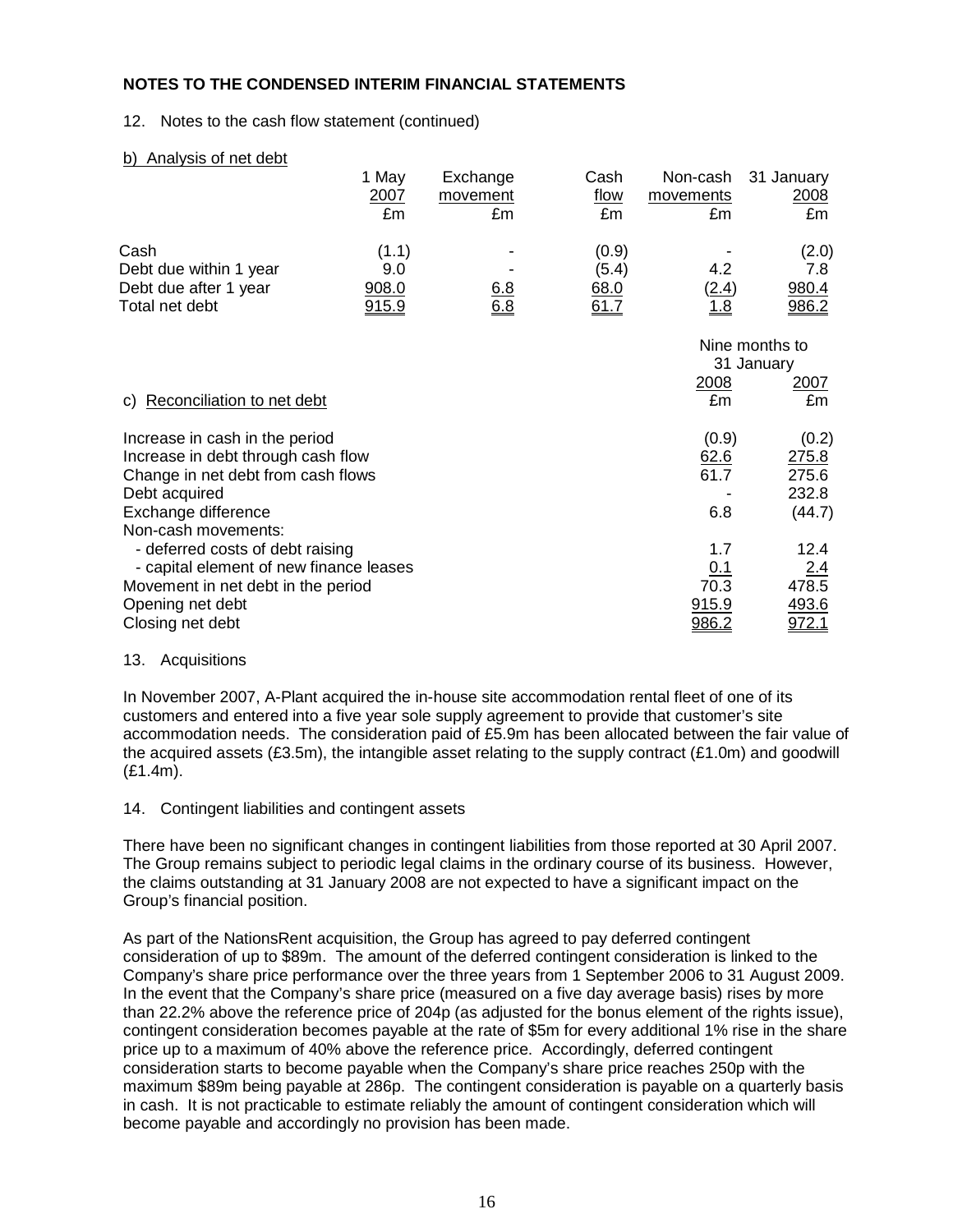#### 12. Notes to the cash flow statement (continued)

| b) Analysis of net debt                 |            |                 |            |                 |                |
|-----------------------------------------|------------|-----------------|------------|-----------------|----------------|
|                                         | 1 May      | Exchange        | Cash       | Non-cash        | 31 January     |
|                                         | 2007<br>£m | movement<br>£m  | flow<br>£m | movements<br>£m | 2008<br>£m     |
|                                         |            |                 |            |                 |                |
| Cash                                    | (1.1)      |                 | (0.9)      |                 | (2.0)          |
| Debt due within 1 year                  | 9.0        |                 | (5.4)      | 4.2             | 7.8            |
| Debt due after 1 year                   | 908.0      |                 | 68.0       | (2.4)           | 980.4          |
| Total net debt                          | 915.9      | $rac{6.8}{6.8}$ | 61.7       | <u>1.8</u>      | <u>986.2</u>   |
|                                         |            |                 |            |                 | Nine months to |
|                                         |            |                 |            |                 | 31 January     |
|                                         |            |                 |            | 2008            | <u>2007</u>    |
| c) Reconciliation to net debt           |            |                 |            | £m              | £m             |
| Increase in cash in the period          |            |                 |            | (0.9)           | (0.2)          |
| Increase in debt through cash flow      |            |                 |            | 62.6            | 275.8          |
| Change in net debt from cash flows      |            |                 |            | 61.7            | 275.6          |
| Debt acquired                           |            |                 |            |                 | 232.8          |
| Exchange difference                     |            |                 |            | 6.8             | (44.7)         |
| Non-cash movements:                     |            |                 |            |                 |                |
| - deferred costs of debt raising        |            |                 |            | 1.7             | 12.4           |
| - capital element of new finance leases |            |                 |            | <u>0.1</u>      | 2.4            |
| Movement in net debt in the period      |            |                 |            | 70.3            | 478.5          |
| Opening net debt                        |            |                 |            | 915.9           | 493.6          |
| Closing net debt                        |            |                 |            | 986.2           | <u>972.1</u>   |

#### 13. Acquisitions

In November 2007, A-Plant acquired the in-house site accommodation rental fleet of one of its customers and entered into a five year sole supply agreement to provide that customer's site accommodation needs. The consideration paid of £5.9m has been allocated between the fair value of the acquired assets (£3.5m), the intangible asset relating to the supply contract (£1.0m) and goodwill (£1.4m).

14. Contingent liabilities and contingent assets

There have been no significant changes in contingent liabilities from those reported at 30 April 2007. The Group remains subject to periodic legal claims in the ordinary course of its business. However, the claims outstanding at 31 January 2008 are not expected to have a significant impact on the Group's financial position.

As part of the NationsRent acquisition, the Group has agreed to pay deferred contingent consideration of up to \$89m. The amount of the deferred contingent consideration is linked to the Company's share price performance over the three years from 1 September 2006 to 31 August 2009. In the event that the Company's share price (measured on a five day average basis) rises by more than 22.2% above the reference price of 204p (as adjusted for the bonus element of the rights issue), contingent consideration becomes payable at the rate of \$5m for every additional 1% rise in the share price up to a maximum of 40% above the reference price. Accordingly, deferred contingent consideration starts to become payable when the Company's share price reaches 250p with the maximum \$89m being payable at 286p. The contingent consideration is payable on a quarterly basis in cash. It is not practicable to estimate reliably the amount of contingent consideration which will become payable and accordingly no provision has been made.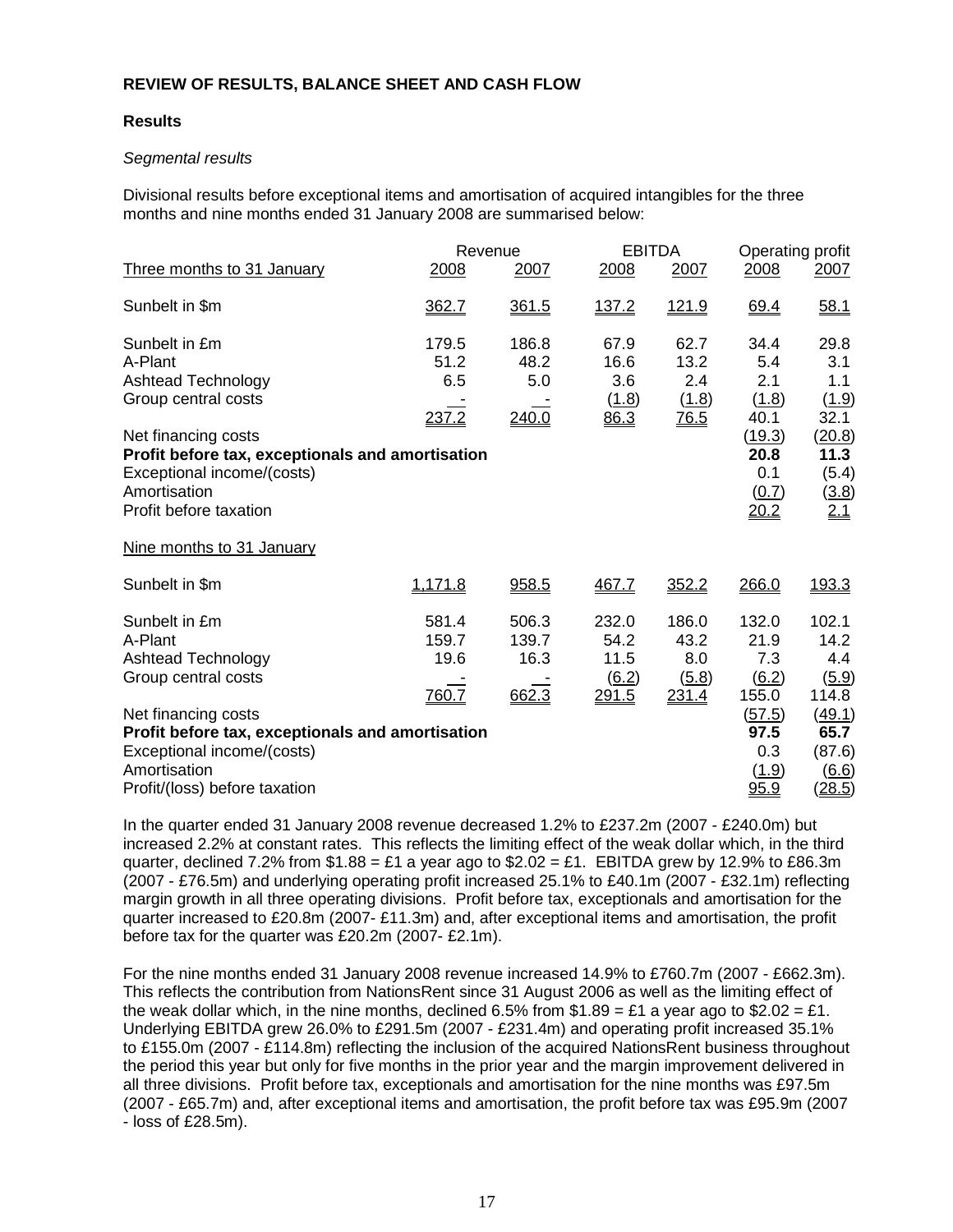## **REVIEW OF RESULTS, BALANCE SHEET AND CASH FLOW**

## **Results**

## Segmental results

Divisional results before exceptional items and amortisation of acquired intangibles for the three months and nine months ended 31 January 2008 are summarised below:

|                                                  | Revenue |       | <b>EBITDA</b> |                    | Operating profit    |                     |
|--------------------------------------------------|---------|-------|---------------|--------------------|---------------------|---------------------|
| Three months to 31 January                       | 2008    | 2007  | 2008          | 2007               | 2008                | 2007                |
| Sunbelt in \$m                                   | 362.7   | 361.5 | <u>137.2</u>  | <u>121.9</u>       | 69.4                | 58.1                |
| Sunbelt in £m                                    | 179.5   | 186.8 | 67.9          | 62.7               | 34.4                | 29.8                |
| A-Plant                                          | 51.2    | 48.2  | 16.6          | 13.2               | 5.4                 | 3.1                 |
| <b>Ashtead Technology</b>                        | 6.5     | 5.0   | 3.6           | 2.4                | 2.1                 | 1.1                 |
| Group central costs                              |         |       | (1.8)         | (1.8)              | (1.8)               | (1.9)               |
|                                                  | 237.2   | 240.0 | 86.3          | $\underline{76.5}$ | 40.1                | 32.1                |
| Net financing costs                              |         |       |               |                    | (19.3)              | (20.8)              |
| Profit before tax, exceptionals and amortisation |         |       |               |                    | 20.8                | 11.3                |
| Exceptional income/(costs)                       |         |       |               |                    | 0.1                 | (5.4)               |
| Amortisation                                     |         |       |               |                    | (0.7)               | $\frac{(3.8)}{2.1}$ |
| Profit before taxation                           |         |       |               |                    | 20.2                |                     |
| Nine months to 31 January                        |         |       |               |                    |                     |                     |
| Sunbelt in \$m                                   | 1,171.8 | 958.5 | 467.7         | 352.2              | 266.0               | 193.3               |
| Sunbelt in £m                                    | 581.4   | 506.3 | 232.0         | 186.0              | 132.0               | 102.1               |
| A-Plant                                          | 159.7   | 139.7 | 54.2          | 43.2               | 21.9                | 14.2                |
| <b>Ashtead Technology</b>                        | 19.6    | 16.3  | 11.5          | 8.0                | 7.3                 | 4.4                 |
| Group central costs                              |         |       | (6.2)         | (5.8)              | $\underline{(6.2)}$ | (5.9)               |
|                                                  | 760.7   | 662.3 | <u>291.5</u>  | 231.4              | 155.0               | 114.8               |
| Net financing costs                              |         |       |               |                    | <u>(57.5)</u>       | (49.1)              |
| Profit before tax, exceptionals and amortisation |         |       |               |                    | 97.5                | 65.7                |
| Exceptional income/(costs)                       |         |       |               |                    | 0.3                 | (87.6)              |
| Amortisation                                     |         |       |               |                    | (1.9)               | $\underline{(6.6)}$ |
| Profit/(loss) before taxation                    |         |       |               |                    | 95.9                | (28.5)              |

In the quarter ended 31 January 2008 revenue decreased 1.2% to £237.2m (2007 - £240.0m) but increased 2.2% at constant rates. This reflects the limiting effect of the weak dollar which, in the third quarter, declined 7.2% from \$1.88 = £1 a year ago to  $$2.02 = £1$ . EBITDA grew by 12.9% to £86.3m (2007 - £76.5m) and underlying operating profit increased 25.1% to £40.1m (2007 - £32.1m) reflecting margin growth in all three operating divisions. Profit before tax, exceptionals and amortisation for the quarter increased to £20.8m (2007- £11.3m) and, after exceptional items and amortisation, the profit before tax for the quarter was £20.2m (2007- £2.1m).

For the nine months ended 31 January 2008 revenue increased 14.9% to £760.7m (2007 - £662.3m). This reflects the contribution from NationsRent since 31 August 2006 as well as the limiting effect of the weak dollar which, in the nine months, declined 6.5% from \$1.89 = £1 a year ago to \$2.02 = £1. Underlying EBITDA grew 26.0% to £291.5m (2007 - £231.4m) and operating profit increased 35.1% to £155.0m (2007 - £114.8m) reflecting the inclusion of the acquired NationsRent business throughout the period this year but only for five months in the prior year and the margin improvement delivered in all three divisions. Profit before tax, exceptionals and amortisation for the nine months was £97.5m (2007 - £65.7m) and, after exceptional items and amortisation, the profit before tax was £95.9m (2007 - loss of £28.5m).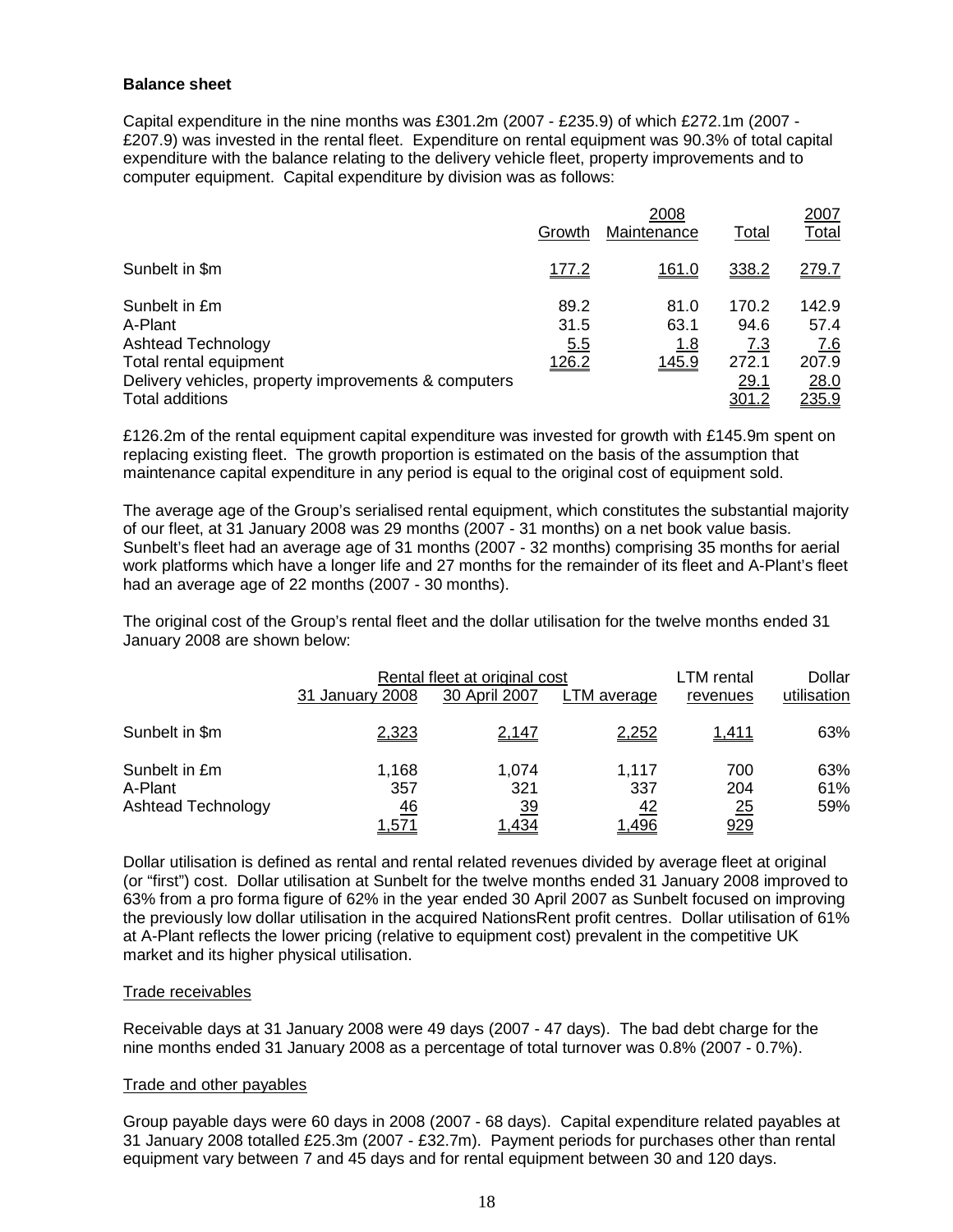#### **Balance sheet**

Capital expenditure in the nine months was £301.2m (2007 - £235.9) of which £272.1m (2007 - £207.9) was invested in the rental fleet. Expenditure on rental equipment was 90.3% of total capital expenditure with the balance relating to the delivery vehicle fleet, property improvements and to computer equipment. Capital expenditure by division was as follows:

|                                                      |              | 2007         |              |               |
|------------------------------------------------------|--------------|--------------|--------------|---------------|
|                                                      | Growth       | Maintenance  | <b>Total</b> | <b>Total</b>  |
| Sunbelt in \$m                                       | <u>177.2</u> | <u>161.0</u> | 338.2        | 279.7         |
| Sunbelt in £m                                        | 89.2         | 81.0         | 170.2        | 142.9         |
| A-Plant                                              | 31.5         | 63.1         | 94.6         | 57.4          |
| Ashtead Technology                                   | 5.5          | <u>1.8</u>   | 7.3          | 7.6           |
| Total rental equipment                               | 126.2        | 145.9        | 272.1        | 207.9         |
| Delivery vehicles, property improvements & computers |              |              | <u>29.1</u>  | 28.0          |
| Total additions                                      |              |              | <u>301.2</u> | <u> 235.9</u> |

£126.2m of the rental equipment capital expenditure was invested for growth with £145.9m spent on replacing existing fleet. The growth proportion is estimated on the basis of the assumption that maintenance capital expenditure in any period is equal to the original cost of equipment sold.

The average age of the Group's serialised rental equipment, which constitutes the substantial majority of our fleet, at 31 January 2008 was 29 months (2007 - 31 months) on a net book value basis. Sunbelt's fleet had an average age of 31 months (2007 - 32 months) comprising 35 months for aerial work platforms which have a longer life and 27 months for the remainder of its fleet and A-Plant's fleet had an average age of 22 months (2007 - 30 months).

The original cost of the Group's rental fleet and the dollar utilisation for the twelve months ended 31 January 2008 are shown below:

|                                                | Rental fleet at original cost             |                                           |                                           | LTM rental                     | Dollar            |
|------------------------------------------------|-------------------------------------------|-------------------------------------------|-------------------------------------------|--------------------------------|-------------------|
|                                                | 31 January 2008                           | 30 April 2007                             | LTM average                               | revenues                       | utilisation       |
| Sunbelt in \$m                                 | 2,323                                     | 2,147                                     | <u>2,252</u>                              | <u>1,411</u>                   | 63%               |
| Sunbelt in £m<br>A-Plant<br>Ashtead Technology | 1,168<br>357<br><u>46</u><br><u>1,571</u> | 1,074<br>321<br><u>39</u><br><u>1,434</u> | 1.117<br>337<br><u>42</u><br><u>1,496</u> | 700<br>204<br>25<br><u>929</u> | 63%<br>61%<br>59% |

Dollar utilisation is defined as rental and rental related revenues divided by average fleet at original (or "first") cost. Dollar utilisation at Sunbelt for the twelve months ended 31 January 2008 improved to 63% from a pro forma figure of 62% in the year ended 30 April 2007 as Sunbelt focused on improving the previously low dollar utilisation in the acquired NationsRent profit centres. Dollar utilisation of 61% at A-Plant reflects the lower pricing (relative to equipment cost) prevalent in the competitive UK market and its higher physical utilisation.

#### Trade receivables

Receivable days at 31 January 2008 were 49 days (2007 - 47 days). The bad debt charge for the nine months ended 31 January 2008 as a percentage of total turnover was 0.8% (2007 - 0.7%).

#### Trade and other payables

Group payable days were 60 days in 2008 (2007 - 68 days). Capital expenditure related payables at 31 January 2008 totalled £25.3m (2007 - £32.7m). Payment periods for purchases other than rental equipment vary between 7 and 45 days and for rental equipment between 30 and 120 days.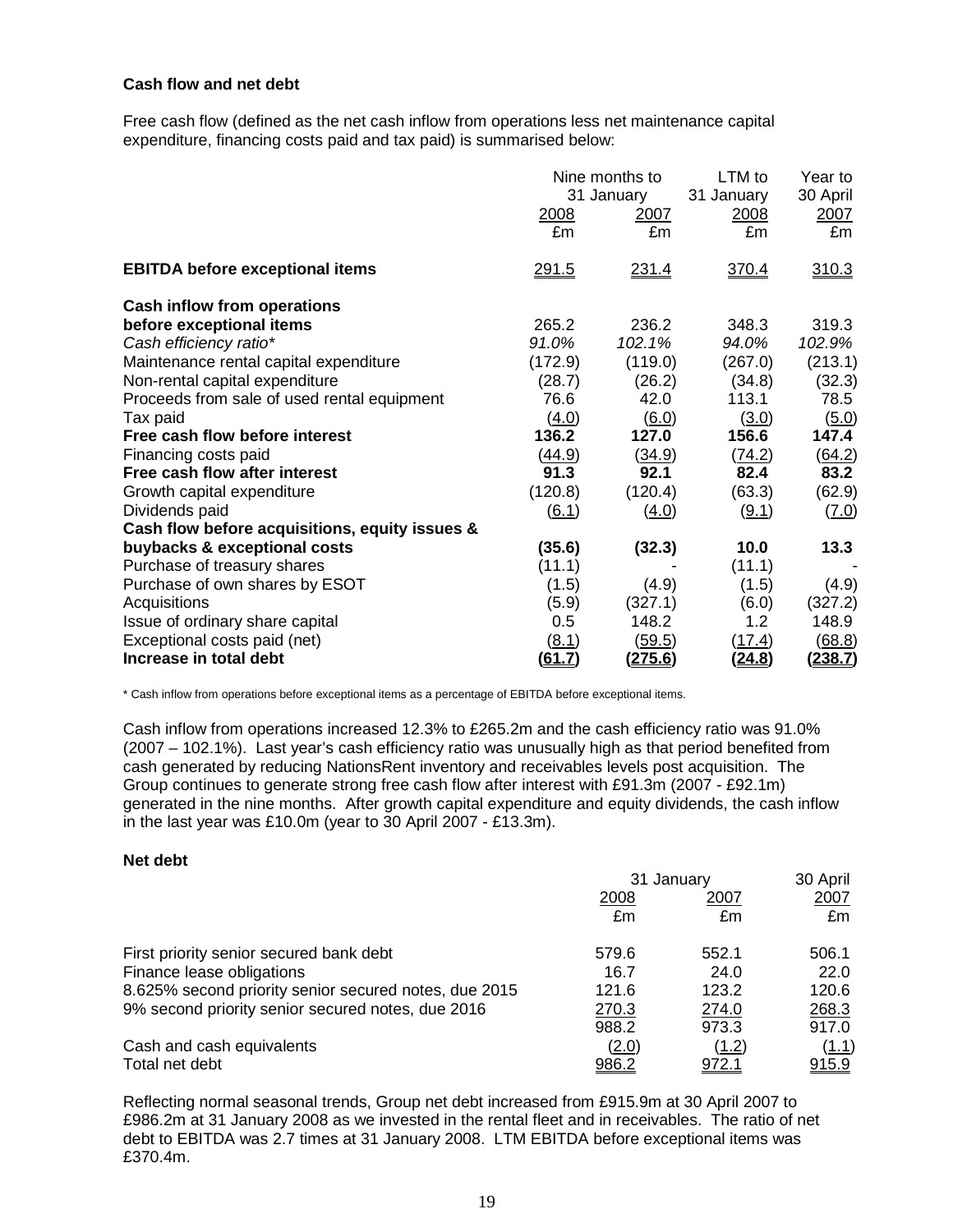#### **Cash flow and net debt**

Free cash flow (defined as the net cash inflow from operations less net maintenance capital expenditure, financing costs paid and tax paid) is summarised below:

|                                                | 2008<br>£m          | Nine months to<br>31 January<br>2007<br>£m | LTM to<br>31 January<br>2008<br>£m | Year to<br>30 April<br>2007<br>£m |
|------------------------------------------------|---------------------|--------------------------------------------|------------------------------------|-----------------------------------|
| <b>EBITDA before exceptional items</b>         | <u>291.5</u>        | 231.4                                      | 370.4                              | 310.3                             |
| <b>Cash inflow from operations</b>             |                     |                                            |                                    |                                   |
| before exceptional items                       | 265.2               | 236.2                                      | 348.3                              | 319.3                             |
| Cash efficiency ratio*                         | 91.0%               | 102.1%                                     | 94.0%                              | 102.9%                            |
| Maintenance rental capital expenditure         | (172.9)             | (119.0)                                    | (267.0)                            | (213.1)                           |
| Non-rental capital expenditure                 | (28.7)              | (26.2)                                     | (34.8)                             | (32.3)                            |
| Proceeds from sale of used rental equipment    | 76.6                | 42.0                                       | 113.1                              | 78.5                              |
| Tax paid                                       | (4.0)               | (6.0)                                      | (3.0)                              | (5.0)                             |
| Free cash flow before interest                 | 136.2               | 127.0                                      | 156.6                              | 147.4                             |
| Financing costs paid                           | <u>(44.9)</u>       | (34.9)                                     | (74.2)                             | (64.2)                            |
| Free cash flow after interest                  | 91.3                | 92.1                                       | 82.4                               | 83.2                              |
| Growth capital expenditure                     | (120.8)             | (120.4)                                    | (63.3)                             | (62.9)                            |
| Dividends paid                                 | $\underline{(6.1)}$ | (4.0)                                      | (9.1)                              | (7.0)                             |
| Cash flow before acquisitions, equity issues & |                     |                                            |                                    |                                   |
| buybacks & exceptional costs                   | (35.6)              | (32.3)                                     | 10.0                               | 13.3                              |
| Purchase of treasury shares                    | (11.1)              |                                            | (11.1)                             |                                   |
| Purchase of own shares by ESOT                 | (1.5)               | (4.9)                                      | (1.5)                              | (4.9)                             |
| Acquisitions                                   | (5.9)               | (327.1)                                    | (6.0)                              | (327.2)                           |
| Issue of ordinary share capital                | $0.5\,$             | 148.2                                      | 1.2                                | 148.9                             |
| Exceptional costs paid (net)                   | <u>(8.1)</u>        | <u>(59.5)</u>                              | (17.4)                             | (68.8)                            |
| Increase in total debt                         | <u>(61.7</u> )      | <u>(275.6)</u>                             | (24.8)                             | <u>(238.7)</u>                    |

\* Cash inflow from operations before exceptional items as a percentage of EBITDA before exceptional items.

Cash inflow from operations increased 12.3% to £265.2m and the cash efficiency ratio was 91.0% (2007 – 102.1%). Last year's cash efficiency ratio was unusually high as that period benefited from cash generated by reducing NationsRent inventory and receivables levels post acquisition. The Group continues to generate strong free cash flow after interest with £91.3m (2007 - £92.1m) generated in the nine months. After growth capital expenditure and equity dividends, the cash inflow in the last year was £10.0m (year to 30 April 2007 - £13.3m).

## **Net debt**

|                                                       | 31 January   |              | 30 April    |
|-------------------------------------------------------|--------------|--------------|-------------|
|                                                       | 2008         | 2007         | <u>2007</u> |
|                                                       | £m           | £m           | £m          |
| First priority senior secured bank debt               | 579.6        | 552.1        | 506.1       |
| Finance lease obligations                             | 16.7         | 24.0         | 22.0        |
| 8.625% second priority senior secured notes, due 2015 | 121.6        | 123.2        | 120.6       |
| 9% second priority senior secured notes, due 2016     | 270.3        | 274.0        | 268.3       |
|                                                       | 988.2        | 973.3        | 917.0       |
| Cash and cash equivalents                             | (2.0)        | (1.2)        | (1.1)       |
| Total net debt                                        | <u>986.2</u> | <u>972.1</u> | 915.9       |

Reflecting normal seasonal trends, Group net debt increased from £915.9m at 30 April 2007 to £986.2m at 31 January 2008 as we invested in the rental fleet and in receivables. The ratio of net debt to EBITDA was 2.7 times at 31 January 2008. LTM EBITDA before exceptional items was £370.4m.